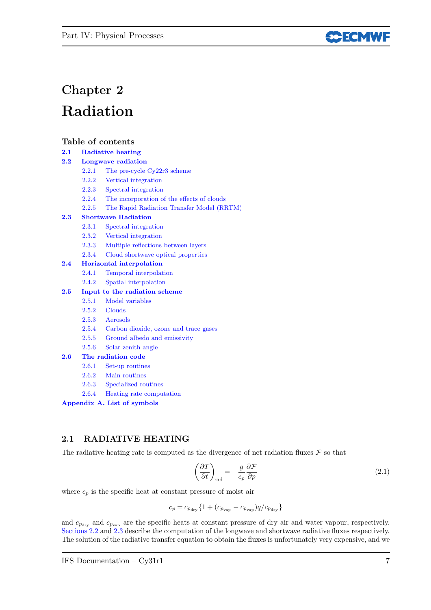

# Chapter 2 Radiation

### Table of contents

- 2.1 Radiative heating
- 2.2 Longwave radiation
	- 2.2.1 The pre-cycle Cy22r3 scheme
	- 2.2.2 Vertical integration
	- 2.2.3 Spectral integration
	- 2.2.4 The incorporation of the effects of clouds
	- 2.2.5 The Rapid Radiation Transfer Model (RRTM)

### 2.3 Shortwave Radiation

- 2.3.1 Spectral integration
- 2.3.2 Vertical integration
- 2.3.3 Multiple reflections between layers
- 2.3.4 Cloud shortwave optical properties

### 2.4 Horizontal interpolation

- 2.4.1 Temporal interpolation
- 2.4.2 Spatial interpolation

### 2.5 Input to the radiation scheme

- 2.5.1 Model variables
- 2.5.2 Clouds
- 2.5.3 Aerosols
- 2.5.4 Carbon dioxide, ozone and trace gases
- 2.5.5 Ground albedo and emissivity
- 2.5.6 Solar zenith angle

### 2.6 The radiation code

- 2.6.1 Set-up routines
- 2.6.2 Main routines
- 2.6.3 Specialized routines
- 2.6.4 Heating rate computation

Appendix A. List of symbols

### 2.1 RADIATIVE HEATING

The radiative heating rate is computed as the divergence of net radiation fluxes  $\mathcal F$  so that

$$
\left(\frac{\partial T}{\partial t}\right)_{\text{rad}} = -\frac{g}{c_p} \frac{\partial \mathcal{F}}{\partial p} \tag{2.1}
$$

where  $c_p$  is the specific heat at constant pressure of moist air

$$
c_p=c_{p_{\rm dry}}\{1+(c_{p_{\rm vap}}-c_{p_{\rm vap}})q/c_{p_{\rm dry}}\}
$$

and  $c_{p_{\text{dry}}}$  and  $c_{p_{\text{vap}}}$  are the specific heats at constant pressure of dry air and water vapour, respectively. Sections 2.2 and 2.3 describe the computation of the longwave and shortwave radiative fluxes respectively. The solution of the radiative transfer equation to obtain the fluxes is unfortunately very expensive, and we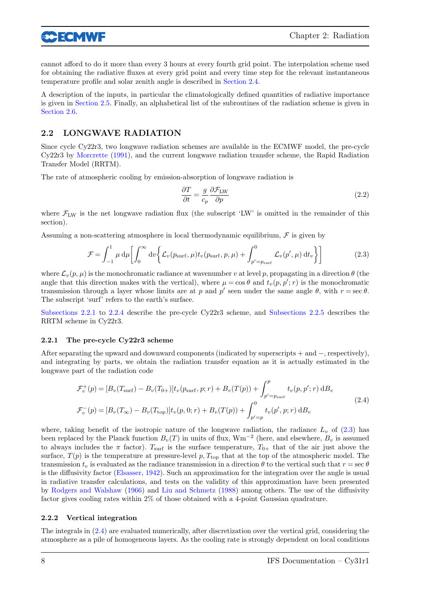**30 ECMWF** 

cannot afford to do it more than every 3 hours at every fourth grid point. The interpolation scheme used for obtaining the radiative fluxes at every grid point and every time step for the relevant instantaneous temperature profile and solar zenith angle is described in Section 2.4.

A description of the inputs, in particular the climatologically defined quantities of radiative importance is given in Section 2.5. Finally, an alphabetical list of the subroutines of the radiation scheme is given in Section 2.6.

### 2.2 LONGWAVE RADIATION

Since cycle Cy22r3, two longwave radiation schemes are available in the ECMWF model, the pre-cycle Cy22r3 by Morcrette (1991), and the current longwave radiation transfer scheme, the Rapid Radiation Transfer Model (RRTM).

The rate of atmospheric cooling by emission-absorption of longwave radiation is

$$
\frac{\partial T}{\partial t} = \frac{g}{c_p} \frac{\partial \mathcal{F}_{\text{LW}}}{\partial p} \tag{2.2}
$$

where  $\mathcal{F}_{LW}$  is the net longwave radiation flux (the subscript 'LW' is omitted in the remainder of this section).

Assuming a non-scattering atmosphere in local thermodynamic equilibrium,  $\mathcal F$  is given by

$$
\mathcal{F} = \int_{-1}^{1} \mu \, d\mu \left[ \int_{0}^{\infty} dv \bigg\{ \mathcal{L}_{v}(p_{\text{surf}}, \mu) t_{v}(p_{\text{surf}}, p, \mu) + \int_{p'=p_{\text{surf}}}^{0} \mathcal{L}_{v}(p', \mu) dt_{v} \bigg\} \right]
$$
(2.3)

where  $\mathcal{L}_{v}(p,\mu)$  is the monochromatic radiance at wavenumber v at level p, propagating in a direction  $\theta$  (the angle that this direction makes with the vertical), where  $\mu = \cos \theta$  and  $t_v(p, p'; r)$  is the monochromatic transmission through a layer whose limits are at p and p' seen under the same angle  $\theta$ , with  $r = \sec \theta$ . The subscript 'surf' refers to the earth's surface.

Subsections 2.2.1 to 2.2.4 describe the pre-cycle Cy22r3 scheme, and Subsections 2.2.5 describes the RRTM scheme in Cy22r3.

### 2.2.1 The pre-cycle Cy22r3 scheme

After separating the upward and downward components (indicated by superscripts + and −, respectively), and integrating by parts, we obtain the radiation transfer equation as it is actually estimated in the longwave part of the radiation code

$$
\mathcal{F}_{v}^{+}(p) = [B_{v}(T_{\text{surf}}) - B_{v}(T_{0+})]t_{v}(p_{\text{surf}}, p; r) + B_{v}(T(p)) + \int_{p'=p_{\text{surf}}}^{p} t_{v}(p, p'; r) dB_{v}
$$
\n
$$
\mathcal{F}_{v}^{-}(p) = [B_{v}(T_{\infty}) - B_{v}(T_{\text{top}})]t_{v}(p, 0; r) + B_{v}(T(p)) + \int_{p'=p}^{0} t_{v}(p', p; r) dB_{v}
$$
\n(2.4)

where, taking benefit of the isotropic nature of the longwave radiation, the radiance  $L_v$  of (2.3) has been replaced by the Planck function  $B_v(T)$  in units of flux,  $Wm^{-2}$  (here, and elsewhere,  $B_v$  is assumed to always includes the  $\pi$  factor). T<sub>surf</sub> is the surface temperature,  $T_{0+}$  that of the air just above the surface,  $T(p)$  is the temperature at pressure-level p,  $T_{\text{top}}$  that at the top of the atmospheric model. The transmission  $t_v$  is evaluated as the radiance transmission in a direction  $\theta$  to the vertical such that  $r = \sec \theta$ is the diffusivity factor (Elsasser, 1942). Such an approximation for the integration over the angle is usual in radiative transfer calculations, and tests on the validity of this approximation have been presented by Rodgers and Walshaw (1966) and Liu and Schmetz (1988) among others. The use of the diffusivity factor gives cooling rates within 2% of those obtained with a 4-point Gaussian quadrature.

#### 2.2.2 Vertical integration

The integrals in (2.4) are evaluated numerically, after discretization over the vertical grid, considering the atmosphere as a pile of homogeneous layers. As the cooling rate is strongly dependent on local conditions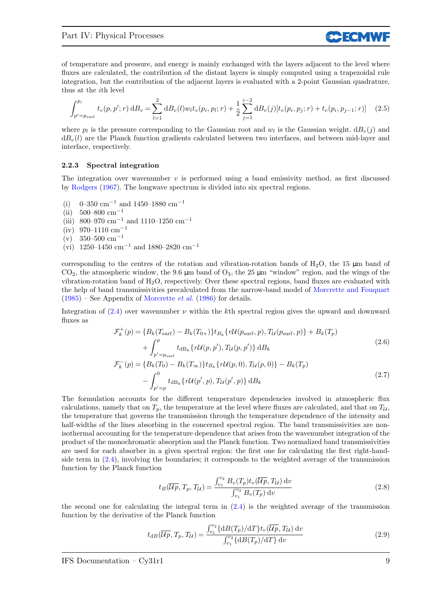of temperature and pressure, and energy is mainly exchanged with the layers adjacent to the level where fluxes are calculated, the contribution of the distant layers is simply computed using a trapezoidal rule integration, but the contribution of the adjacent layers is evaluated with a 2-point Gaussian quadrature, thus at the ith level

**SCECMW** 

$$
\int_{p'=p_{\text{surf}}}^{p_i} t_v(p, p'; r) \, \mathrm{d}B_v = \sum_{l=1}^2 \mathrm{d}B_v(l) w_l t_v(p_i, p_l; r) + \frac{1}{2} \sum_{j=1}^{i-2} \mathrm{d}B_v(j) [t_v(p_i, p_j; r) + t_v(p_i, p_{j-1}; r)] \tag{2.5}
$$

where  $p_l$  is the pressure corresponding to the Gaussian root and  $w_l$  is the Gaussian weight.  $dB_v(j)$  and  $dB_v(l)$  are the Planck function gradients calculated between two interfaces, and between mid-layer and interface, respectively.

#### 2.2.3 Spectral integration

The integration over wavenumber  $v$  is performed using a band emissivity method, as first discussed by Rodgers (1967). The longwave spectrum is divided into six spectral regions.

- (i) 0–350 cm<sup>-1</sup> and 1450–1880 cm<sup>-1</sup>
- (ii)  $500-800$  cm<sup>-1</sup>
- (iii) 800–970 cm<sup>−</sup><sup>1</sup> and 1110–1250 cm<sup>−</sup><sup>1</sup>
- (iv) 970–1110 cm<sup>-1</sup>
- $(v)$  350–500 cm<sup>-1</sup>
- (vi) 1250–1450 cm<sup>-1</sup> and 1880–2820 cm<sup>-1</sup>

corresponding to the centres of the rotation and vibration-rotation bands of  $H_2O$ , the 15  $\mu$ m band of  $CO<sub>2</sub>$ , the atmospheric window, the 9.6  $\mu$ m band of  $O<sub>3</sub>$ , the 25  $\mu$ m "window" region, and the wings of the vibration-rotation band of  $H_2O$ , respectively. Over these spectral regions, band fluxes are evaluated with the help of band transmissivities precalculated from the narrow-band model of Morcrette and Fouquart  $(1985)$  – See Appendix of Morcrette *et al.* (1986) for details.

Integration of  $(2.4)$  over wavenumber  $\nu$  within the kth spectral region gives the upward and downward fluxes as

$$
\mathcal{F}_{k}^{+}(p) = \{B_{k}(T_{\text{surf}}) - B_{k}(T_{0+})\}t_{B_{k}}\{r\mathcal{U}(p_{\text{surf}}, p), T_{\mathcal{U}}(p_{\text{surf}}, p)\} + B_{k}(T_{p})
$$
\n
$$
+ \int_{p'=p_{\text{surf}}}^{p} t_{\text{dB}_{k}}\{r\mathcal{U}(p, p'), T_{\mathcal{U}}(p, p')\} dB_{k}
$$
\n
$$
\mathcal{F}_{k}^{-}(p) = \{B_{k}(T_{0}) - B_{k}(T_{\infty})\}t_{B_{k}}\{r\mathcal{U}(p, 0), T_{\mathcal{U}}(p, 0)\} - B_{k}(T_{p})
$$
\n
$$
- \int_{p'=p}^{0} t_{\text{dB}_{k}}\{r\mathcal{U}(p', p), T_{\mathcal{U}}(p', p)\} dB_{k}
$$
\n(2.7)

The formulation accounts for the different temperature dependencies involved in atmospheric flux calculations, namely that on  $T_p$ , the temperature at the level where fluxes are calculated, and that on  $T_{\mathcal{U}}$ , the temperature that governs the transmission through the temperature dependence of the intensity and half-widths of the lines absorbing in the concerned spectral region. The band transmissivities are nonisothermal accounting for the temperature dependence that arises from the wavenumber integration of the product of the monochromatic absorption and the Planck function. Two normalized band transmissivities are used for each absorber in a given spectral region: the first one for calculating the first right-handside term in  $(2.4)$ , involving the boundaries; it corresponds to the weighted average of the transmission function by the Planck function

$$
t_B(\overline{\mathcal{U}p}, T_p, T_{\mathcal{U}}) = \frac{\int_{v_1}^{v_2} B_v(T_p) t_v(\overline{\mathcal{U}p}, T_{\mathcal{U}}) \, dv}{\int_{v_1}^{v_2} B_v(T_p) \, dv}
$$
\n(2.8)

the second one for calculating the integral term in  $(2.4)$  is the weighted average of the transmission function by the derivative of the Planck function

$$
t_{\text{dB}}(\overline{\mathcal{U}p}, T_p, T_{\mathcal{U}}) = \frac{\int_{v_1}^{v_2} {\{\text{d}B(T_p)/\text{d}T\} t_v(\overline{\mathcal{U}p}, T_{\mathcal{U}}) \,\text{d}v}}{\int_{v_1}^{v_2} {\{\text{d}B(T_p)/\text{d}T\} \,\text{d}v}}
$$
(2.9)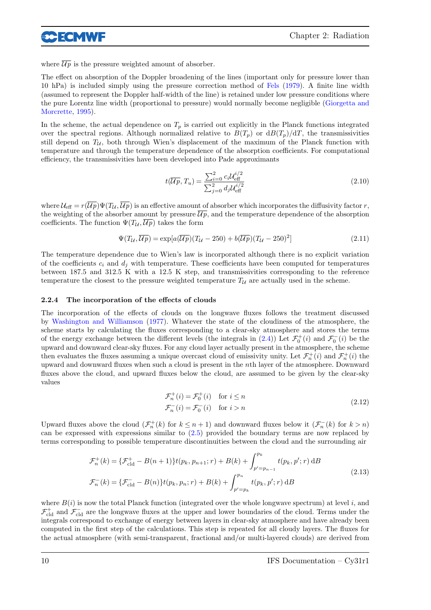

where  $\overline{\mathcal{U}p}$  is the pressure weighted amount of absorber.

The effect on absorption of the Doppler broadening of the lines (important only for pressure lower than 10 hPa) is included simply using the pressure correction method of Fels (1979). A finite line width (assumed to represent the Doppler half-width of the line) is retained under low pressure conditions where the pure Lorentz line width (proportional to pressure) would normally become negligible (Giorgetta and Morcrette, 1995).

In the scheme, the actual dependence on  $T_p$  is carried out explicitly in the Planck functions integrated over the spectral regions. Although normalized relative to  $B(T_p)$  or  $dB(T_p)/dT$ , the transmissivities still depend on  $T_{\mathcal{U}}$ , both through Wien's displacement of the maximum of the Planck function with temperature and through the temperature dependence of the absorption coefficients. For computational efficiency, the transmissivities have been developed into Pade approximants

$$
t(\overline{\mathcal{U}p}, T_u) = \frac{\sum_{i=0}^{2} c_i \mathcal{U}_{\text{eff}}^{i/2}}{\sum_{j=0}^{2} d_j \mathcal{U}_{\text{eff}}^{i/2}}
$$
(2.10)

where  $\mathcal{U}_{\text{eff}} = r(\overline{\mathcal{U}p}) \Psi(T_{\mathcal{U}}, \overline{\mathcal{U}p})$  is an effective amount of absorber which incorporates the diffusivity factor r, the weighting of the absorber amount by pressure  $\overline{\mathcal{U}p}$ , and the temperature dependence of the absorption coefficients. The function  $\Psi(T_{\mathcal{U}}, \overline{\mathcal{U}p})$  takes the form

$$
\Psi(T_{\mathcal{U}}, \overline{\mathcal{U}p}) = \exp[a(\overline{\mathcal{U}p})(T_{\mathcal{U}} - 250) + b(\overline{\mathcal{U}p})(T_{\mathcal{U}} - 250)^2]
$$
\n(2.11)

The temperature dependence due to Wien's law is incorporated although there is no explicit variation of the coefficients  $c_i$  and  $d_j$  with temperature. These coefficients have been computed for temperatures between 187.5 and 312.5 K with a 12.5 K step, and transmissivities corresponding to the reference temperature the closest to the pressure weighted temperature  $T_{\mathcal{U}}$  are actually used in the scheme.

#### 2.2.4 The incorporation of the effects of clouds

The incorporation of the effects of clouds on the longwave fluxes follows the treatment discussed by Washington and Williamson (1977). Whatever the state of the cloudiness of the atmosphere, the scheme starts by calculating the fluxes corresponding to a clear-sky atmosphere and stores the terms of the energy exchange between the different levels (the integrals in (2.4)) Let  $\mathcal{F}_0^+(i)$  and  $\mathcal{F}_0^-(i)$  be the upward and downward clear-sky fluxes. For any cloud layer actually present in the atmosphere, the scheme then evaluates the fluxes assuming a unique overcast cloud of emissivity unity. Let  $\mathcal{F}_n^+(i)$  and  $\mathcal{F}_n^+(i)$  the upward and downward fluxes when such a cloud is present in the nth layer of the atmosphere. Downward fluxes above the cloud, and upward fluxes below the cloud, are assumed to be given by the clear-sky values

$$
\mathcal{F}_n^+(i) = \mathcal{F}_0^+(i) \quad \text{for } i \le n
$$
  

$$
\mathcal{F}_n^-(i) = \mathcal{F}_0^-(i) \quad \text{for } i > n
$$
 (2.12)

Upward fluxes above the cloud  $(\mathcal{F}_n^+(k)$  for  $k \leq n+1)$  and downward fluxes below it  $(\mathcal{F}_n^-(k)$  for  $k > n)$ can be expressed with expressions similar to (2.5) provided the boundary terms are now replaced by terms corresponding to possible temperature discontinuities between the cloud and the surrounding air

$$
\mathcal{F}_n^+(k) = \{ \mathcal{F}_{\text{cld}}^+ - B(n+1) \} t(p_k, p_{n+1}; r) + B(k) + \int_{p'=p_{n-1}}^{p_k} t(p_k, p'; r) \, dB
$$
\n
$$
\mathcal{F}_n^-(k) = \{ \mathcal{F}_{\text{cld}}^- - B(n) \} t(p_k, p_n; r) + B(k) + \int_{p'=p_k}^{p_n} t(p_k, p'; r) \, dB
$$
\n(2.13)

where  $B(i)$  is now the total Planck function (integrated over the whole longwave spectrum) at level i, and  $\mathcal{F}^+_{\text{cld}}$  and  $\mathcal{F}^-_{\text{cld}}$  are the longwave fluxes at the upper and lower boundaries of the cloud. Terms under the integrals correspond to exchange of energy between layers in clear-sky atmosphere and have already been computed in the first step of the calculations. This step is repeated for all cloudy layers. The fluxes for the actual atmosphere (with semi-transparent, fractional and/or multi-layered clouds) are derived from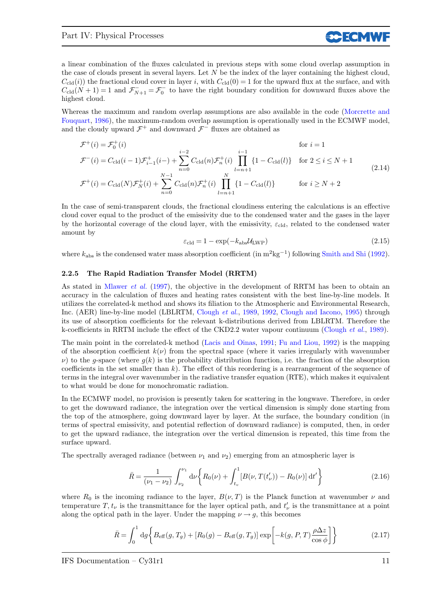a linear combination of the fluxes calculated in previous steps with some cloud overlap assumption in the case of clouds present in several layers. Let  $N$  be the index of the layer containing the highest cloud,  $C_{\text{cld}}(i)$ ) the fractional cloud cover in layer i, with  $C_{\text{cld}}(0) = 1$  for the upward flux at the surface, and with  $C_{\text{cld}}(N+1) = 1$  and  $\mathcal{F}_{N+1}^- = \mathcal{F}_0^-$  to have the right boundary condition for downward fluxes above the highest cloud.

Whereas the maximum and random overlap assumptions are also available in the code (Morcrette and Fouquart, 1986), the maximum-random overlap assumption is operationally used in the ECMWF model, and the cloudy upward  $\mathcal{F}^+$  and downward  $\mathcal{F}^-$  fluxes are obtained as

$$
\mathcal{F}^+(i) = \mathcal{F}_0^+(i) \qquad \text{for } i = 1
$$
\n
$$
\mathcal{F}^-(i) = C_{\text{cld}}(i-1)\mathcal{F}_{i-1}^+(i-) + \sum_{n=0}^{i-2} C_{\text{cld}}(n)\mathcal{F}_n^+(i) \prod_{l=n+1}^{i-1} \{1 - C_{\text{cld}}(l)\} \qquad \text{for } 2 \le i \le N+1
$$
\n
$$
\mathcal{F}^+(i) = C_{\text{cld}}(N)\mathcal{F}_N^+(i) + \sum_{n=0}^{N-1} C_{\text{cld}}(n)\mathcal{F}_n^+(i) \prod_{l=n+1}^N \{1 - C_{\text{cld}}(l)\} \qquad \text{for } i \ge N+2
$$
\n(2.14)

In the case of semi-transparent clouds, the fractional cloudiness entering the calculations is an effective cloud cover equal to the product of the emissivity due to the condensed water and the gases in the layer by the horizontal coverage of the cloud layer, with the emissivity,  $\varepsilon_{\text{cld}}$ , related to the condensed water amount by

$$
\varepsilon_{\rm cld} = 1 - \exp(-k_{\rm abs} \mathcal{U}_{\rm LWP}) \tag{2.15}
$$

**SCECMW** 

where  $k_{\text{abs}}$  is the condensed water mass absorption coefficient (in  $\text{m}^2\text{kg}^{-1}$ ) following Smith and Shi (1992).

#### 2.2.5 The Rapid Radiation Transfer Model (RRTM)

As stated in Mlawer *et al.* (1997), the objective in the development of RRTM has been to obtain an accuracy in the calculation of fluxes and heating rates consistent with the best line-by-line models. It utilizes the correlated-k method and shows its filiation to the Atmospheric and Environmental Research, Inc. (AER) line-by-line model (LBLRTM, Clough et al., 1989, 1992, Clough and Iacono, 1995) through its use of absorption coefficients for the relevant k-distributions derived from LBLRTM. Therefore the k-coefficients in RRTM include the effect of the CKD2.2 water vapour continuum (Clough et al., 1989).

The main point in the correlated-k method (Lacis and Oinas, 1991; Fu and Liou, 1992) is the mapping of the absorption coefficient  $k(\nu)$  from the spectral space (where it varies irregularly with wavenumber  $\nu$ ) to the g-space (where  $g(k)$  is the probability distribution function, i.e. the fraction of the absorption coefficients in the set smaller than  $k$ ). The effect of this reordering is a rearrangement of the sequence of terms in the integral over wavenumber in the radiative transfer equation (RTE), which makes it equivalent to what would be done for monochromatic radiation.

In the ECMWF model, no provision is presently taken for scattering in the longwave. Therefore, in order to get the downward radiance, the integration over the vertical dimension is simply done starting from the top of the atmosphere, going downward layer by layer. At the surface, the boundary condition (in terms of spectral emissivity, and potential reflection of downward radiance) is computed, then, in order to get the upward radiance, the integration over the vertical dimension is repeated, this time from the surface upward.

The spectrally averaged radiance (between  $\nu_1$  and  $\nu_2$ ) emerging from an atmospheric layer is

$$
\bar{R} = \frac{1}{(\nu_1 - \nu_2)} \int_{\nu_2}^{\nu_1} d\nu \left\{ R_0(\nu) + \int_{t_v}^1 [B(\nu, T(t'_\nu)) - R_0(\nu)] dt' \right\}
$$
(2.16)

where  $R_0$  is the incoming radiance to the layer,  $B(\nu, T)$  is the Planck function at wavenumber  $\nu$  and temperature  $T, t_{\nu}$  is the transmittance for the layer optical path, and  $t'_{\nu}$  is the transmittance at a point along the optical path in the layer. Under the mapping  $\nu \rightarrow g$ , this becomes

$$
\bar{R} = \int_0^1 \mathrm{d}g \left\{ B_{\text{eff}}(g, T_g) + \left[ R_0(g) - B_{\text{eff}}(g, T_g) \right] \exp \left[ -k(g, P, T) \frac{\rho \Delta z}{\cos \phi} \right] \right\} \tag{2.17}
$$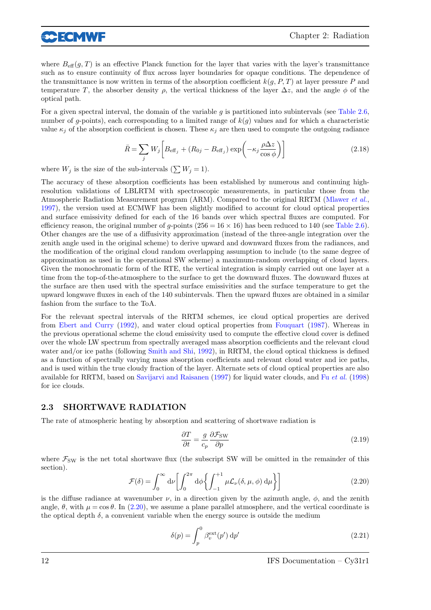

where  $B_{\text{eff}}(q, T)$  is an effective Planck function for the layer that varies with the layer's transmittance such as to ensure continuity of flux across layer boundaries for opaque conditions. The dependence of the transmittance is now written in terms of the absorption coefficient  $k(q, P, T)$  at layer pressure P and temperature T, the absorber density  $\rho$ , the vertical thickness of the layer  $\Delta z$ , and the angle  $\phi$  of the optical path.

For a given spectral interval, the domain of the variable g is partitioned into subintervals (see Table 2.6, number of g-points), each corresponding to a limited range of  $k(g)$  values and for which a characteristic value  $\kappa_i$  of the absorption coefficient is chosen. These  $\kappa_i$  are then used to compute the outgoing radiance

$$
\bar{R} = \sum_{j} W_{j} \left[ B_{\text{eff}_{j}} + (R_{0j} - B_{\text{eff}_{j}}) \exp\left(-\kappa_{j} \frac{\rho \Delta z}{\cos \phi}\right) \right]
$$
(2.18)

where  $W_j$  is the size of the sub-intervals  $(\sum W_j = 1)$ .

The accuracy of these absorption coefficients has been established by numerous and continuing highresolution validations of LBLRTM with spectroscopic measurements, in particular those from the Atmospheric Radiation Measurement program (ARM). Compared to the original RRTM (Mlawer et al., 1997), the version used at ECMWF has been slightly modified to account for cloud optical properties and surface emissivity defined for each of the 16 bands over which spectral fluxes are computed. For efficiency reason, the original number of q-points ( $256 = 16 \times 16$ ) has been reduced to 140 (see Table 2.6). Other changes are the use of a diffusivity approximation (instead of the three-angle integration over the zenith angle used in the original scheme) to derive upward and downward fluxes from the radiances, and the modification of the original cloud random overlapping assumption to include (to the same degree of approximation as used in the operational SW scheme) a maximum-random overlapping of cloud layers. Given the monochromatic form of the RTE, the vertical integration is simply carried out one layer at a time from the top-of-the-atmosphere to the surface to get the downward fluxes. The downward fluxes at the surface are then used with the spectral surface emissivities and the surface temperature to get the upward longwave fluxes in each of the 140 subintervals. Then the upward fluxes are obtained in a similar fashion from the surface to the ToA.

For the relevant spectral intervals of the RRTM schemes, ice cloud optical properties are derived from Ebert and Curry (1992), and water cloud optical properties from Fouquart (1987). Whereas in the previous operational scheme the cloud emissivity used to compute the effective cloud cover is defined over the whole LW spectrum from spectrally averaged mass absorption coefficients and the relevant cloud water and/or ice paths (following Smith and Shi, 1992), in RRTM, the cloud optical thickness is defined as a function of spectrally varying mass absorption coefficients and relevant cloud water and ice paths, and is used within the true cloudy fraction of the layer. Alternate sets of cloud optical properties are also available for RRTM, based on Savijarvi and Raisanen (1997) for liquid water clouds, and Fu et al. (1998) for ice clouds.

### 2.3 SHORTWAVE RADIATION

The rate of atmospheric heating by absorption and scattering of shortwave radiation is

$$
\frac{\partial T}{\partial t} = \frac{g}{c_p} \frac{\partial \mathcal{F}_{SW}}{\partial p} \tag{2.19}
$$

where  $\mathcal{F}_{SW}$  is the net total shortwave flux (the subscript SW will be omitted in the remainder of this section).

$$
\mathcal{F}(\delta) = \int_0^\infty d\nu \left[ \int_0^{2\pi} d\phi \left\{ \int_{-1}^{+1} \mu \mathcal{L}_\nu(\delta, \mu, \phi) d\mu \right\} \right]
$$
(2.20)

is the diffuse radiance at wavenumber  $\nu$ , in a direction given by the azimuth angle,  $\phi$ , and the zenith angle,  $\theta$ , with  $\mu = \cos \theta$ . In (2.20), we assume a plane parallel atmosphere, and the vertical coordinate is the optical depth  $\delta$ , a convenient variable when the energy source is outside the medium

$$
\delta(p) = \int_{p}^{0} \beta_v^{\text{ext}}(p') \, \mathrm{d}p' \tag{2.21}
$$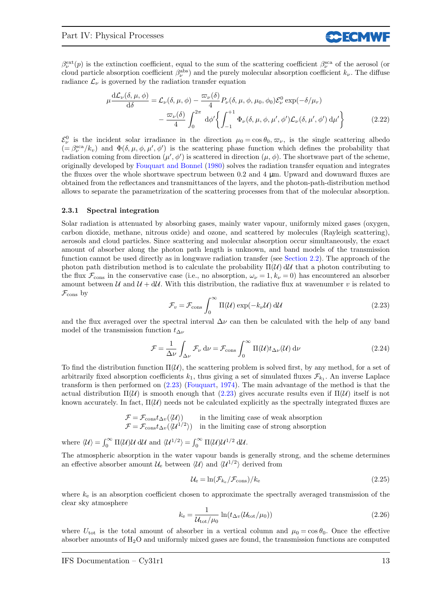$\beta_{\nu}^{\text{ext}}(p)$  is the extinction coefficient, equal to the sum of the scattering coefficient  $\beta_{\nu}^{\text{sea}}$  of the aerosol (or cloud particle absorption coefficient  $\beta_{\nu}^{\text{abs}}$ ) and the purely molecular absorption coefficient  $k_{\nu}$ . The diffuse radiance  $\mathcal{L}_{\nu}$  is governed by the radiation transfer equation

$$
\mu \frac{d\mathcal{L}_{\nu}(\delta, \mu, \phi)}{d\delta} = \mathcal{L}_{\nu}(\delta, \mu, \phi) - \frac{\varpi_{\nu}(\delta)}{4} P_{\nu}(\delta, \mu, \phi, \mu_0, \phi_0) \mathcal{E}_{\nu}^0 \exp(-\delta/\mu_r) \n- \frac{\varpi_{\nu}(\delta)}{4} \int_0^{2\pi} d\phi' \left\{ \int_{-1}^{+1} \Phi_{\nu}(\delta, \mu, \phi, \mu', \phi') \mathcal{L}_{\nu}(\delta, \mu', \phi') d\mu' \right\}
$$
\n(2.22)

**CCECMW** 

 $\mathcal{E}^0_\nu$  is the incident solar irradiance in the direction  $\mu_0 = \cos \theta_0, \varpi_\nu$ , is the single scattering albedo  $(=\beta_{\nu}^{\text{sca}}/k_{\nu})$  and  $\Phi(\delta,\mu,\phi,\mu',\phi')$  is the scattering phase function which defines the probability that radiation coming from direction  $(\mu', \phi')$  is scattered in direction  $(\mu, \phi)$ . The shortwave part of the scheme, originally developed by Fouquart and Bonnel (1980) solves the radiation transfer equation and integrates the fluxes over the whole shortwave spectrum between 0.2 and 4 µm. Upward and downward fluxes are obtained from the reflectances and transmittances of the layers, and the photon-path-distribution method allows to separate the parametrization of the scattering processes from that of the molecular absorption.

#### 2.3.1 Spectral integration

Solar radiation is attenuated by absorbing gases, mainly water vapour, uniformly mixed gases (oxygen, carbon dioxide, methane, nitrous oxide) and ozone, and scattered by molecules (Rayleigh scattering), aerosols and cloud particles. Since scattering and molecular absorption occur simultaneously, the exact amount of absorber along the photon path length is unknown, and band models of the transmission function cannot be used directly as in longwave radiation transfer (see Section 2.2). The approach of the photon path distribution method is to calculate the probability  $\Pi(\mathcal{U})$  dU that a photon contributing to the flux  $\mathcal{F}_{\text{cons}}$  in the conservative case (i.e., no absorption,  $\omega_{\nu} = 1, k_{\nu} = 0$ ) has encountered an absorber amount between U and  $\mathcal{U} + d\mathcal{U}$ . With this distribution, the radiative flux at wavenumber v is related to  $\mathcal{F}_{\text{cons}}$  by

$$
\mathcal{F}_v = \mathcal{F}_{\text{cons}} \int_0^\infty \Pi(\mathcal{U}) \exp(-k_\nu \mathcal{U}) \, \mathrm{d}\mathcal{U}
$$
\n(2.23)

and the flux averaged over the spectral interval  $\Delta \nu$  can then be calculated with the help of any band model of the transmission function  $t_{\Delta \nu}$ 

$$
\mathcal{F} = \frac{1}{\Delta \nu} \int_{\Delta \nu} \mathcal{F}_{\nu} d\nu = \mathcal{F}_{\text{cons}} \int_{0}^{\infty} \Pi(\mathcal{U}) t_{\Delta \nu}(\mathcal{U}) d\nu
$$
\n(2.24)

To find the distribution function  $\Pi(\mathcal{U})$ , the scattering problem is solved first, by any method, for a set of arbitrarily fixed absorption coefficients  $k_1$ , thus giving a set of simulated fluxes  $\mathcal{F}_{k_1}$ . An inverse Laplace transform is then performed on (2.23) (Fouquart, 1974). The main advantage of the method is that the actual distribution  $\Pi(\mathcal{U})$  is smooth enough that (2.23) gives accurate results even if  $\Pi(\mathcal{U})$  itself is not known accurately. In fact,  $\Pi(\mathcal{U})$  needs not be calculated explicitly as the spectrally integrated fluxes are

$$
\mathcal{F} = \mathcal{F}_{\text{cons}} t_{\Delta v} (\langle \mathcal{U} \rangle) \qquad \text{in the limiting case of weak absorption} \\ \mathcal{F} = \mathcal{F}_{\text{cons}} t_{\Delta v} (\langle \mathcal{U}^{1/2} \rangle) \quad \text{in the limiting case of strong absorption}
$$

where  $\langle U \rangle = \int_0^\infty \Pi(U)U \, dU$  and  $\langle U^{1/2} \rangle = \int_0^\infty \Pi(U)U^{1/2} \, dU$ .

The atmospheric absorption in the water vapour bands is generally strong, and the scheme determines an effective absorber amount  $\mathcal{U}_{e}$  between  $\langle \mathcal{U} \rangle$  and  $\langle \mathcal{U}^{1/2} \rangle$  derived from

$$
\mathcal{U}_{\rm e} = \ln(\mathcal{F}_{k_{\rm e}}/\mathcal{F}_{\rm cons})/k_{\rm e} \tag{2.25}
$$

where  $k_e$  is an absorption coefficient chosen to approximate the spectrally averaged transmission of the clear sky atmosphere

$$
k_{\rm e} = \frac{1}{\mathcal{U}_{\rm tot}/\mu_0} \ln(t_{\Delta v}(\mathcal{U}_{\rm tot}/\mu_0))
$$
\n(2.26)

where  $U_{\text{tot}}$  is the total amount of absorber in a vertical column and  $\mu_0 = \cos \theta_0$ . Once the effective absorber amounts of  $H_2O$  and uniformly mixed gases are found, the transmission functions are computed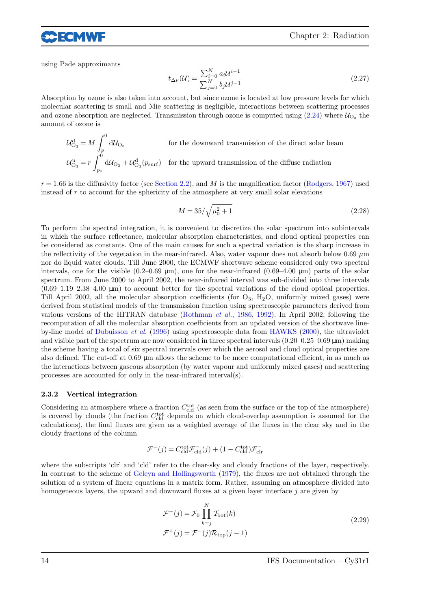

using Pade approximants

$$
t_{\Delta\nu}(\mathcal{U}) = \frac{\sum_{i=0}^{N} a_i \mathcal{U}^{i-1}}{\sum_{j=0}^{N} b_j \mathcal{U}^{j-1}}\tag{2.27}
$$

Absorption by ozone is also taken into account, but since ozone is located at low pressure levels for which molecular scattering is small and Mie scattering is negligible, interactions between scattering processes and ozone absorption are neglected. Transmission through ozone is computed using  $(2.24)$  where  $\mathcal{U}_{\text{O}_3}$  the amount of ozone is

$$
\mathcal{U}_{\mathcal{O}_3}^d = M \int_p^0 d\mathcal{U}_{\mathcal{O}_3}
$$
 for the downward transmission of the direct solar beam  

$$
\mathcal{U}_{\mathcal{O}_3}^d = r \int_{p_s}^0 d\mathcal{U}_{\mathcal{O}_3} + \mathcal{U}_{\mathcal{O}_3}^d(p_{\text{surf}})
$$
 for the upward transmission of the diffuse radiation

 $r = 1.66$  is the diffusivity factor (see Section 2.2), and M is the magnification factor (Rodgers, 1967) used instead of  $r$  to account for the sphericity of the atmosphere at very small solar elevations

$$
M = 35/\sqrt{\mu_0^2 + 1}
$$
 (2.28)

To perform the spectral integration, it is convenient to discretize the solar spectrum into subintervals in which the surface reflectance, molecular absorption characteristics, and cloud optical properties can be considered as constants. One of the main causes for such a spectral variation is the sharp increase in the reflectivity of the vegetation in the near-infrared. Also, water vapour does not absorb below  $0.69 \mu m$ nor do liquid water clouds. Till June 2000, the ECMWF shortwave scheme considered only two spectral intervals, one for the visible  $(0.2-0.69 \text{ }\mu\text{m})$ , one for the near-infrared  $(0.69-4.00 \text{ }\mu\text{m})$  parts of the solar spectrum. From June 2000 to April 2002, the near-infrared interval was sub-divided into three intervals  $(0.69-1.19-2.38-4.00 \mu m)$  to account better for the spectral variations of the cloud optical properties. Till April 2002, all the molecular absorption coefficients (for  $O_3$ ,  $H_2O$ , uniformly mixed gases) were derived from statistical models of the transmission function using spectroscopic parameters derived from various versions of the HITRAN database (Rothman et al., 1986, 1992). In April 2002, following the recomputation of all the molecular absorption coefficients from an updated version of the shortwave lineby-line model of Dubuisson et al. (1996) using spectroscopic data from HAWKS (2000), the ultraviolet and visible part of the spectrum are now considered in three spectral intervals  $(0.20-0.25-0.69 \,\mu m)$  making the scheme having a total of six spectral intervals over which the aerosol and cloud optical properties are also defined. The cut-off at 0.69 µm allows the scheme to be more computational efficient, in as much as the interactions between gaseous absorption (by water vapour and uniformly mixed gases) and scattering processes are accounted for only in the near-infrared interval(s).

#### 2.3.2 Vertical integration

Considering an atmosphere where a fraction  $C_{\text{cld}}^{\text{tot}}$  (as seen from the surface or the top of the atmosphere) is covered by clouds (the fraction  $C_{\text{cld}}^{\text{tot}}$  depends on which cloud-overlap assumption is assumed for the calculations), the final fluxes are given as a weighted average of the fluxes in the clear sky and in the cloudy fractions of the column

$$
\mathcal{F}^-(j) = C_{\text{cld}}^{\text{tot}} \mathcal{F}_{\text{cld}}^-(j) + (1-C_{\text{cld}}^{\text{tot}}) \mathcal{F}_{\text{clr}}^-
$$

where the subscripts 'clr' and 'cld' refer to the clear-sky and cloudy fractions of the layer, respectively. In contrast to the scheme of Geleyn and Hollingsworth (1979), the fluxes are not obtained through the solution of a system of linear equations in a matrix form. Rather, assuming an atmosphere divided into homogeneous layers, the upward and downward fluxes at a given layer interface  $j$  are given by

$$
\mathcal{F}^-(j) = \mathcal{F}_0 \prod_{k=j}^N \mathcal{T}_{\text{bot}}(k)
$$
  

$$
\mathcal{F}^+(j) = \mathcal{F}^-(j)\mathcal{R}_{\text{top}}(j-1)
$$
 (2.29)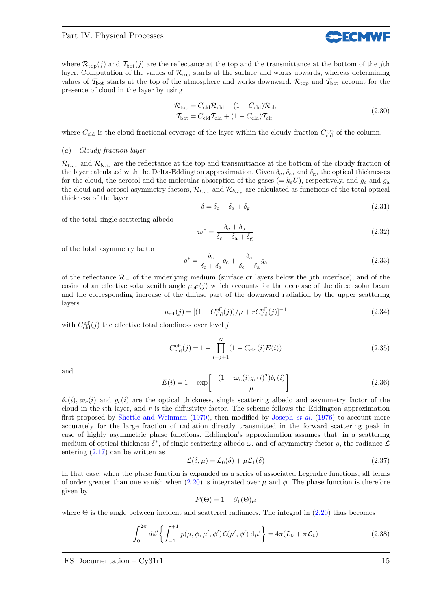where  $\mathcal{R}_{\text{top}}(j)$  and  $\mathcal{T}_{\text{bot}}(j)$  are the reflectance at the top and the transmittance at the bottom of the j<sup>th</sup> layer. Computation of the values of  $\mathcal{R}_{\text{top}}$  starts at the surface and works upwards, whereas determining values of  $\mathcal{T}_{\text{bot}}$  starts at the top of the atmosphere and works downward.  $\mathcal{R}_{\text{top}}$  and  $\mathcal{T}_{\text{bot}}$  account for the presence of cloud in the layer by using

$$
\mathcal{R}_{\text{top}} = C_{\text{cld}} \mathcal{R}_{\text{cld}} + (1 - C_{\text{cld}}) \mathcal{R}_{\text{clr}}
$$
\n
$$
\mathcal{T}_{\text{bot}} = C_{\text{cld}} \mathcal{T}_{\text{cld}} + (1 - C_{\text{cld}}) \mathcal{T}_{\text{clr}}
$$
\n(2.30)

**CCECMV** 

where  $C_{\text{cld}}$  is the cloud fractional coverage of the layer within the cloudy fraction  $C_{\text{cld}}^{\text{tot}}$  of the column.

#### (a) Cloudy fraction layer

 $\mathcal{R}_{t_{\text{cdv}}}$  and  $\mathcal{R}_{b_{\text{cdv}}}$  are the reflectance at the top and transmittance at the bottom of the cloudy fraction of the layer calculated with the Delta-Eddington approximation. Given  $\delta_c$ ,  $\delta_a$ , and  $\delta_g$ , the optical thicknesses for the cloud, the aerosol and the molecular absorption of the gases  $(= k_e U)$ , respectively, and  $g_c$  and  $g_a$ the cloud and aerosol asymmetry factors,  $\mathcal{R}_{t_{\text{cdy}}}$  and  $\mathcal{R}_{b_{\text{cdy}}}$  are calculated as functions of the total optical thickness of the layer

$$
\delta = \delta_{\rm c} + \delta_{\rm a} + \delta_{\rm g} \tag{2.31}
$$

of the total single scattering albedo

$$
\varpi^* = \frac{\delta_c + \delta_a}{\delta_c + \delta_a + \delta_g} \tag{2.32}
$$

of the total asymmetry factor

$$
g^* = \frac{\delta_c}{\delta_c + \delta_a} g_c + \frac{\delta_a}{\delta_c + \delta_a} g_a \tag{2.33}
$$

of the reflectance R<sup>−</sup> of the underlying medium (surface or layers below the jth interface), and of the cosine of an effective solar zenith angle  $\mu_{\text{eff}}(j)$  which accounts for the decrease of the direct solar beam and the corresponding increase of the diffuse part of the downward radiation by the upper scattering layers

$$
\mu_{\text{eff}}(j) = [(1 - C_{\text{cld}}^{\text{eff}}(j))/\mu + r C_{\text{cld}}^{\text{eff}}(j)]^{-1}
$$
\n(2.34)

with  $C_{\text{cld}}^{\text{eff}}(j)$  the effective total cloudiness over level j

$$
C_{\text{cld}}^{\text{eff}}(j) = 1 - \prod_{i=j+1}^{N} (1 - C_{\text{cld}}(i)E(i))
$$
\n(2.35)

and

$$
E(i) = 1 - \exp\left[-\frac{(1 - \varpi_c(i)g_c(i)^2)\delta_c(i)}{\mu}\right]
$$
\n(2.36)

 $\delta_c(i), \varpi_c(i)$  and  $g_c(i)$  are the optical thickness, single scattering albedo and asymmetry factor of the cloud in the *i*th layer, and  $r$  is the diffusivity factor. The scheme follows the Eddington approximation first proposed by Shettle and Weinman  $(1970)$ , then modified by Joseph *et al.*  $(1976)$  to account more accurately for the large fraction of radiation directly transmitted in the forward scattering peak in case of highly asymmetric phase functions. Eddington's approximation assumes that, in a scattering medium of optical thickness  $\delta^*$ , of single scattering albedo  $\omega$ , and of asymmetry factor g, the radiance  $\mathcal L$ entering  $(2.17)$  can be written as

$$
\mathcal{L}(\delta, \mu) = \mathcal{L}_0(\delta) + \mu \mathcal{L}_1(\delta) \tag{2.37}
$$

In that case, when the phase function is expanded as a series of associated Legendre functions, all terms of order greater than one vanish when  $(2.20)$  is integrated over  $\mu$  and  $\phi$ . The phase function is therefore given by

$$
P(\Theta) = 1 + \beta_1(\Theta)\mu
$$

where  $\Theta$  is the angle between incident and scattered radiances. The integral in (2.20) thus becomes

$$
\int_0^{2\pi} d\phi' \left\{ \int_{-1}^{+1} p(\mu, \phi, \mu', \phi') \mathcal{L}(\mu', \phi') d\mu' \right\} = 4\pi (L_0 + \pi \mathcal{L}_1)
$$
 (2.38)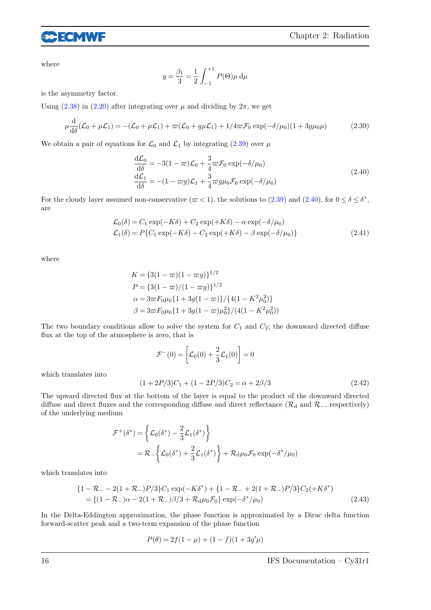

where

$$
g = \frac{\beta_1}{3} = \frac{1}{2} \int_{-1}^{+1} P(\Theta) \mu \, d\mu
$$

is the asymmetry factor.

Using  $(2.38)$  in  $(2.20)$  after integrating over  $\mu$  and dividing by  $2\pi$ , we get

$$
\mu \frac{\mathrm{d}}{\mathrm{d}\delta}(\mathcal{L}_0 + \mu \mathcal{L}_1) = -(\mathcal{L}_0 + \mu \mathcal{L}_1) + \varpi(\mathcal{L}_0 + g\mu \mathcal{L}_1) + 1/4\varpi \mathcal{F}_0 \exp(-\delta/\mu_0)(1 + 3g\mu_0\mu) \tag{2.39}
$$

We obtain a pair of equations for  $\mathcal{L}_0$  and  $\mathcal{L}_1$  by integrating (2.39) over  $\mu$ 

$$
\frac{d\mathcal{L}_0}{d\delta} = -3(1 - \varpi)\mathcal{L}_0 + \frac{3}{4}\varpi\mathcal{F}_0 \exp(-\delta/\mu_0)
$$
\n
$$
\frac{d\mathcal{L}_1}{d\delta} = -(1 - \varpi g)\mathcal{L}_1 + \frac{3}{4}\varpi g\mu_0\mathcal{F}_0 \exp(-\delta/\mu_0)
$$
\n(2.40)

For the cloudy layer assumed non-conservative  $(\varpi < 1)$ , the solutions to  $(2.39)$  and  $(2.40)$ , for  $0 \le \delta \le \delta^*$ , are

$$
\mathcal{L}_0(\delta) = C_1 \exp(-K\delta) + C_2 \exp(+K\delta) - \alpha \exp(-\delta/\mu_0)
$$
  
\n
$$
\mathcal{L}_1(\delta) = P\{C_1 \exp(-K\delta) - C_2 \exp(+K\delta) - \beta \exp(-\delta/\mu_0)\}
$$
\n(2.41)

where

$$
K = \{3(1 - \varpi)(1 - \varpi g)\}^{1/2}
$$
  
\n
$$
P = \{3(1 - \varpi)/(1 - \varpi g)\}^{1/2}
$$
  
\n
$$
\alpha = 3\varpi F_0 \mu_0 \{1 + 3g(1 - \varpi)\} / \{4(1 - K^2 \mu_0^2)\}
$$
  
\n
$$
\beta = 3\varpi F_0 \mu_0 \{1 + 3g(1 - \varpi)\mu_0^2\} / (4(1 - K^2 \mu_0^2))
$$

The two boundary conditions allow to solve the system for  $C_1$  and  $C_2$ ; the downward directed diffuse flux at the top of the atmosphere is zero, that is

$$
\mathcal{F}^{-}(0) = \left[ \mathcal{L}_0(0) + \frac{2}{3} \mathcal{L}_1(0) \right] = 0
$$

which translates into

$$
(1+2P/3)C1 + (1-2P/3)C2 = \alpha + 2\beta/3
$$
\n(2.42)

The upward directed flux at the bottom of the layer is equal to the product of the downward directed diffuse and direct fluxes and the corresponding diffuse and direct reflectance ( $\mathcal{R}_{d}$  and  $\mathcal{R}_{-}$ , respectively) of the underlying medium

$$
\mathcal{F}^+(\delta^*) = \left\{ \mathcal{L}_0(\delta^*) - \frac{2}{3} \mathcal{L}_1(\delta^*) \right\}
$$
  
=  $\mathcal{R}_-\left\{ \mathcal{L}_0(\delta^*) + \frac{2}{3} \mathcal{L}_1(\delta^*) \right\} + \mathcal{R}_d \mu_0 \mathcal{F}_0 \exp(-\delta^* / \mu_0)$ 

which translates into

$$
\{1 - \mathcal{R}_- - 2(1 + \mathcal{R}_-)P/3\}C_1 \exp(-K\delta^*) + \{1 - \mathcal{R}_- + 2(1 + \mathcal{R}_-)P/3\}C_2(+K\delta^*)
$$
  
= \{(1 - \mathcal{R}\_-) \alpha - 2(1 + \mathcal{R}\_-) \beta/3 + \mathcal{R}\_d \mu\_0 \mathcal{F}\_0\} \exp(-\delta^\*/\mu\_0) (2.43)

In the Delta-Eddington approximation, the phase function is approximated by a Dirac delta function forward-scatter peak and a two-term expansion of the phase function

$$
P(\theta) = 2f(1-\mu) + (1-f)(1+3g'\mu)
$$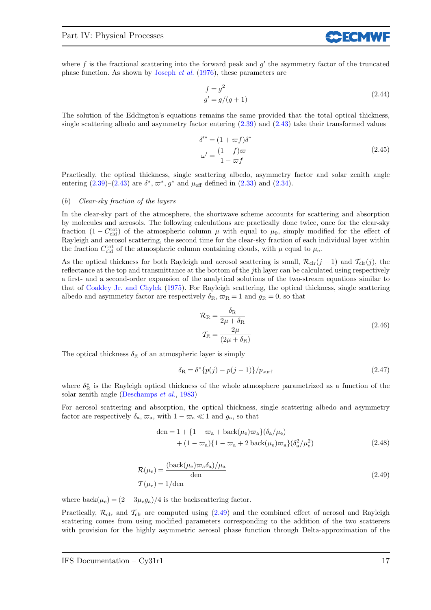where  $f$  is the fractional scattering into the forward peak and  $g'$  the asymmetry factor of the truncated phase function. As shown by Joseph et al. (1976), these parameters are

$$
f = g2
$$
  
 
$$
g' = g/(g+1)
$$
 (2.44)

**SCECMV** 

The solution of the Eddington's equations remains the same provided that the total optical thickness, single scattering albedo and asymmetry factor entering (2.39) and (2.43) take their transformed values

$$
\delta'^* = (1 + \varpi f)\delta^*
$$
  

$$
\omega' = \frac{(1 - f)\varpi}{1 - \varpi f}
$$
 (2.45)

Practically, the optical thickness, single scattering albedo, asymmetry factor and solar zenith angle entering  $(2.39)$ – $(2.43)$  are  $\delta^*, \varpi^*, g^*$  and  $\mu_{\text{eff}}$  defined in  $(2.33)$  and  $(2.34)$ .

#### (b) Clear-sky fraction of the layers

In the clear-sky part of the atmosphere, the shortwave scheme accounts for scattering and absorption by molecules and aerosols. The following calculations are practically done twice, once for the clear-sky fraction  $(1 - C_{\text{cld}}^{\text{tot}})$  of the atmospheric column  $\mu$  with equal to  $\mu_0$ , simply modified for the effect of Rayleigh and aerosol scattering, the second time for the clear-sky fraction of each individual layer within the fraction  $C_{\text{cld}}^{\text{tot}}$  of the atmospheric column containing clouds, with  $\mu$  equal to  $\mu_{\text{e}}$ .

As the optical thickness for both Rayleigh and aerosol scattering is small,  $\mathcal{R}_{\text{clr}}(j-1)$  and  $\mathcal{T}_{\text{clr}}(j)$ , the reflectance at the top and transmittance at the bottom of the jth layer can be calculated using respectively a first- and a second-order expansion of the analytical solutions of the two-stream equations similar to that of Coakley Jr. and Chylek (1975). For Rayleigh scattering, the optical thickness, single scattering albedo and asymmetry factor are respectively  $\delta_{\rm R}, \varpi_{\rm R} = 1$  and  $g_{\rm R} = 0$ , so that

$$
\mathcal{R}_{\rm R} = \frac{\delta_{\rm R}}{2\mu + \delta_{\rm R}}
$$
  

$$
\mathcal{T}_{\rm R} = \frac{2\mu}{(2\mu + \delta_{\rm R})}
$$
(2.46)

The optical thickness  $\delta_R$  of an atmospheric layer is simply

$$
\delta_{\rm R} = \delta^* \{ p(j) - p(j-1) \} / p_{\rm surf}
$$
\n(2.47)

where  $\delta_{\rm R}^*$  is the Rayleigh optical thickness of the whole atmosphere parametrized as a function of the solar zenith angle (Deschamps et al., 1983)

For aerosol scattering and absorption, the optical thickness, single scattering albedo and asymmetry factor are respectively  $\delta_{a}, \varpi_{a}$ , with  $1 - \varpi_{a} \ll 1$  and  $g_{a}$ , so that

den = 1 + {1 - 
$$
\varpi_a
$$
 + back( $\mu_e$ ) $\varpi_a$ }/( $\delta_a/\mu_e$ )  
+ (1 -  $\varpi_a$ )/1 -  $\varpi_a$  + 2 back( $\mu_e$ ) $\varpi_a$ }/( $\delta_a^2/\mu_e^2$ ) (2.48)

$$
\mathcal{R}(\mu_{e}) = \frac{(\text{back}(\mu_{e})\varpi_{a}\delta_{a})/\mu_{a}}{\text{den}}
$$
\n
$$
\mathcal{T}(\mu_{e}) = 1/\text{den}
$$
\n(2.49)

where  $\text{back}(\mu_e) = (2 - 3\mu_e g_a)/4$  is the backscattering factor.

Practically,  $\mathcal{R}_{\text{clr}}$  and  $\mathcal{T}_{\text{clr}}$  are computed using (2.49) and the combined effect of aerosol and Rayleigh scattering comes from using modified parameters corresponding to the addition of the two scatterers with provision for the highly asymmetric aerosol phase function through Delta-approximation of the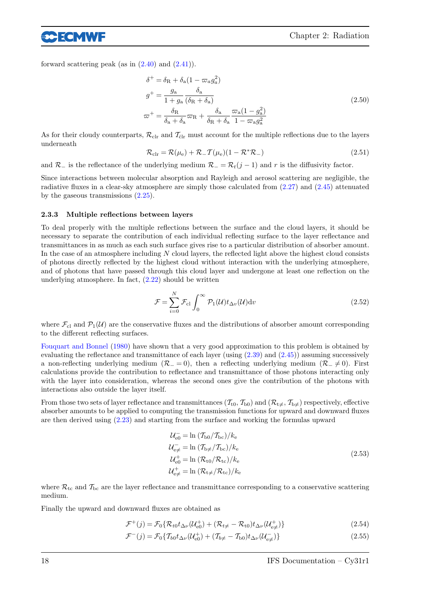forward scattering peak (as in  $(2.40)$  and  $(2.41)$ ).

eecmwf

$$
\delta^{+} = \delta_{\mathrm{R}} + \delta_{\mathrm{a}} (1 - \varpi_{a} g_{a}^{2})
$$
  
\n
$$
g^{+} = \frac{g_{\mathrm{a}}}{1 + g_{\mathrm{a}}} \frac{\delta_{\mathrm{a}}}{(\delta_{\mathrm{R}} + \delta_{\mathrm{a}})}
$$
  
\n
$$
\varpi^{+} = \frac{\delta_{\mathrm{R}}}{\delta_{\mathrm{a}} + \delta_{\mathrm{a}}} \varpi_{\mathrm{R}} + \frac{\delta_{\mathrm{a}}}{\delta_{\mathrm{R}} + \delta_{\mathrm{a}}} \frac{\varpi_{\mathrm{a}} (1 - g_{\mathrm{a}}^{2})}{1 - \varpi_{\mathrm{a}} g_{\mathrm{a}}^{2}}
$$
\n(2.50)

As for their cloudy counterparts,  $\mathcal{R}_{\text{clr}}$  and  $\mathcal{T}_{\text{clr}}$  must account for the multiple reflections due to the layers underneath

$$
\mathcal{R}_{\rm clr} = \mathcal{R}(\mu_{\rm e}) + \mathcal{R}_{-}\mathcal{T}(\mu_{\rm e})(1 - \mathcal{R}^*\mathcal{R}_{-})
$$
\n(2.51)

and  $\mathcal{R}_-$  is the reflectance of the underlying medium  $\mathcal{R}_- = \mathcal{R}_t(j-1)$  and r is the diffusivity factor.

Since interactions between molecular absorption and Rayleigh and aerosol scattering are negligible, the radiative fluxes in a clear-sky atmosphere are simply those calculated from (2.27) and (2.45) attenuated by the gaseous transmissions (2.25).

#### 2.3.3 Multiple reflections between layers

To deal properly with the multiple reflections between the surface and the cloud layers, it should be necessary to separate the contribution of each individual reflecting surface to the layer reflectance and transmittances in as much as each such surface gives rise to a particular distribution of absorber amount. In the case of an atmosphere including N cloud layers, the reflected light above the highest cloud consists of photons directly reflected by the highest cloud without interaction with the underlying atmosphere, and of photons that have passed through this cloud layer and undergone at least one reflection on the underlying atmosphere. In fact,  $(2.22)$  should be written

$$
\mathcal{F} = \sum_{i=0}^{N} \mathcal{F}_{\text{cl}} \int_{0}^{\infty} \mathcal{P}_{1}(\mathcal{U}) t_{\Delta v}(\mathcal{U}) \, \mathrm{d}v \tag{2.52}
$$

where  $\mathcal{F}_{c1}$  and  $\mathcal{P}_1(\mathcal{U})$  are the conservative fluxes and the distributions of absorber amount corresponding to the different reflecting surfaces.

Fouquart and Bonnel (1980) have shown that a very good approximation to this problem is obtained by evaluating the reflectance and transmittance of each layer (using  $(2.39)$  and  $(2.45)$ ) assuming successively a non-reflecting underlying medium ( $\mathcal{R}_- = 0$ ), then a reflecting underlying medium ( $\mathcal{R}_- \neq 0$ ). First calculations provide the contribution to reflectance and transmittance of those photons interacting only with the layer into consideration, whereas the second ones give the contribution of the photons with interactions also outside the layer itself.

From those two sets of layer reflectance and transmittances  $(\mathcal{T}_{t0}, \mathcal{T}_{b0})$  and  $(\mathcal{R}_{t\neq}, \mathcal{T}_{b\neq})$  respectively, effective absorber amounts to be applied to computing the transmission functions for upward and downward fluxes are then derived using (2.23) and starting from the surface and working the formulas upward

$$
\mathcal{U}_{\text{e}0} = \ln \left( \mathcal{T}_{\text{b}0} / \mathcal{T}_{\text{bc}} \right) / k_{\text{e}}
$$
\n
$$
\mathcal{U}_{\text{e}\neq} = \ln \left( \mathcal{T}_{\text{b}\neq} / \mathcal{T}_{\text{bc}} \right) / k_{\text{e}}
$$
\n
$$
\mathcal{U}_{\text{e}0}^+ = \ln \left( \mathcal{R}_{\text{t}0} / \mathcal{R}_{\text{tc}} \right) / k_{\text{e}}
$$
\n
$$
\mathcal{U}_{\text{e}\neq}^+ = \ln \left( \mathcal{R}_{\text{t}\neq} / \mathcal{R}_{\text{tc}} \right) / k_{\text{e}}
$$
\n(2.53)

where  $\mathcal{R}_{\text{tc}}$  and  $\mathcal{T}_{\text{bc}}$  are the layer reflectance and transmittance corresponding to a conservative scattering medium.

Finally the upward and downward fluxes are obtained as

$$
\mathcal{F}^+(j) = \mathcal{F}_0\{\mathcal{R}_{t0}t_{\Delta\nu}(\mathcal{U}_{\text{e}0}^+) + (\mathcal{R}_{t\neq} - \mathcal{R}_{t0})t_{\Delta\nu}(\mathcal{U}_{\text{e}\neq}^+)\}\
$$
(2.54)

$$
\mathcal{F}^{-}(j) = \mathcal{F}_{0} \{ \mathcal{T}_{b0} t_{\Delta \nu} (\mathcal{U}_{\text{e}0}^{+}) + (\mathcal{T}_{b \neq} - \mathcal{T}_{b0}) t_{\Delta \nu} (\mathcal{U}_{\text{e} \neq}^{-}) \}
$$
(2.55)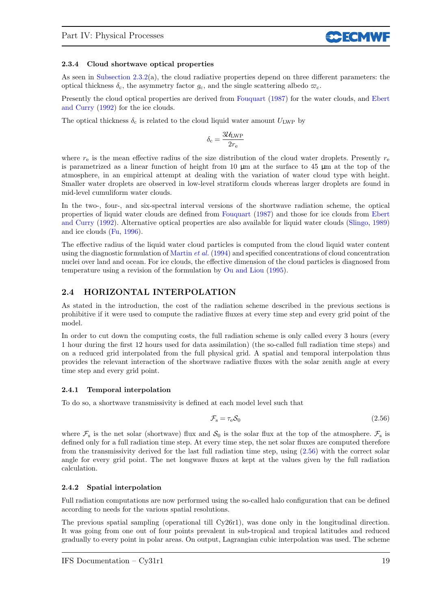### 2.3.4 Cloud shortwave optical properties

As seen in Subsection 2.3.2(a), the cloud radiative properties depend on three different parameters: the optical thickness  $\delta_c$ , the asymmetry factor  $g_c$ , and the single scattering albedo  $\varpi_c$ .

Presently the cloud optical properties are derived from Fouquart (1987) for the water clouds, and Ebert and Curry (1992) for the ice clouds.

The optical thickness  $\delta_c$  is related to the cloud liquid water amount  $U_{\text{LWP}}$  by

$$
\delta_{\rm c} = \frac{3\mathcal{U}_{\rm LWP}}{2r_{\rm e}}
$$

where  $r_e$  is the mean effective radius of the size distribution of the cloud water droplets. Presently  $r_e$ is parametrized as a linear function of height from  $10 \mu m$  at the surface to  $45 \mu m$  at the top of the atmosphere, in an empirical attempt at dealing with the variation of water cloud type with height. Smaller water droplets are observed in low-level stratiform clouds whereas larger droplets are found in mid-level cumuliform water clouds.

In the two-, four-, and six-spectral interval versions of the shortwave radiation scheme, the optical properties of liquid water clouds are defined from Fouquart (1987) and those for ice clouds from Ebert and Curry (1992). Alternative optical properties are also available for liquid water clouds (Slingo, 1989) and ice clouds (Fu, 1996).

The effective radius of the liquid water cloud particles is computed from the cloud liquid water content using the diagnostic formulation of Martin et al. (1994) and specified concentrations of cloud concentration nuclei over land and ocean. For ice clouds, the effective dimension of the cloud particles is diagnosed from temperature using a revision of the formulation by Ou and Liou (1995).

### 2.4 HORIZONTAL INTERPOLATION

As stated in the introduction, the cost of the radiation scheme described in the previous sections is prohibitive if it were used to compute the radiative fluxes at every time step and every grid point of the model.

In order to cut down the computing costs, the full radiation scheme is only called every 3 hours (every 1 hour during the first 12 hours used for data assimilation) (the so-called full radiation time steps) and on a reduced grid interpolated from the full physical grid. A spatial and temporal interpolation thus provides the relevant interaction of the shortwave radiative fluxes with the solar zenith angle at every time step and every grid point.

### 2.4.1 Temporal interpolation

To do so, a shortwave transmissivity is defined at each model level such that

$$
\mathcal{F}_{\rm s} = \tau_{\rm e} \mathcal{S}_0 \tag{2.56}
$$

**CCECMV** 

where  $\mathcal{F}_s$  is the net solar (shortwave) flux and  $\mathcal{S}_0$  is the solar flux at the top of the atmosphere.  $\mathcal{F}_s$  is defined only for a full radiation time step. At every time step, the net solar fluxes are computed therefore from the transmissivity derived for the last full radiation time step, using  $(2.56)$  with the correct solar angle for every grid point. The net longwave fluxes at kept at the values given by the full radiation calculation.

### 2.4.2 Spatial interpolation

Full radiation computations are now performed using the so-called halo configuration that can be defined according to needs for the various spatial resolutions.

The previous spatial sampling (operational till Cy26r1), was done only in the longitudinal direction. It was going from one out of four points prevalent in sub-tropical and tropical latitudes and reduced gradually to every point in polar areas. On output, Lagrangian cubic interpolation was used. The scheme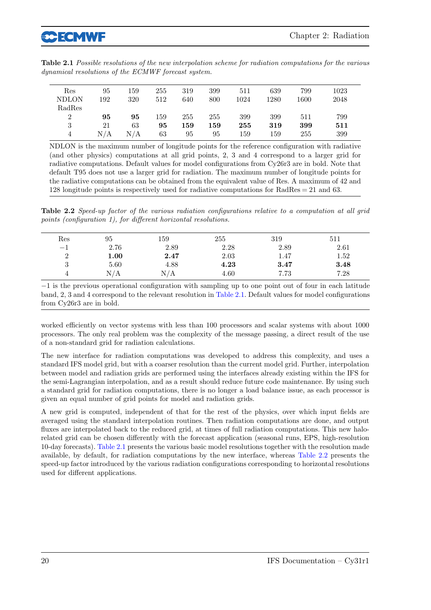| Table 2.1 Possible resolutions of the new interpolation scheme for radiation computations for the various |  |  |
|-----------------------------------------------------------------------------------------------------------|--|--|
| dynamical resolutions of the ECMWF forecast system.                                                       |  |  |

| 95  | 159 | 255 | 319     | 399 | 511  | 639  | 799  | 1023 |
|-----|-----|-----|---------|-----|------|------|------|------|
| 192 | 320 | 512 | 640     | 800 | 1024 | 1280 | 1600 | 2048 |
|     |     |     |         |     |      |      |      |      |
| 95  | 95  | 159 | 255     | 255 | 399  | 399  | 511  | 799  |
| 21  | 63  | 95  | $159\,$ | 159 | 255  | 319  | 399  | 511  |
| N/A | N/A | 63  | 95      | 95  | 159  | 159  | 255  | 399  |
|     |     |     |         |     |      |      |      |      |

NDLON is the maximum number of longitude points for the reference configuration with radiative (and other physics) computations at all grid points, 2, 3 and 4 correspond to a larger grid for radiative computations. Default values for model configurations from Cy26r3 are in bold. Note that default T95 does not use a larger grid for radiation. The maximum number of longitude points for the radiative computations can be obtained from the equivalent value of Res. A maximum of 42 and 128 longitude points is respectively used for radiative computations for RadRes = 21 and 63.

Table 2.2 Speed-up factor of the various radiation configurations relative to a computation at all grid points (configuration 1), for different horizontal resolutions.

| Res      | 95   | 159  | 255  | 319  | 511  |
|----------|------|------|------|------|------|
| $-1$     | 2.76 | 2.89 | 2.28 | 2.89 | 2.61 |
| $\Omega$ | 1.00 | 2.47 | 2.03 | 1.47 | 1.52 |
| 3        | 5.60 | 4.88 | 4.23 | 3.47 | 3.48 |
|          | N/A  | N/A  | 4.60 | 7.73 | 7.28 |

−1 is the previous operational configuration with sampling up to one point out of four in each latitude band, 2, 3 and 4 correspond to the relevant resolution in Table 2.1. Default values for model configurations from Cy26r3 are in bold.

worked efficiently on vector systems with less than 100 processors and scalar systems with about 1000 processors. The only real problem was the complexity of the message passing, a direct result of the use of a non-standard grid for radiation calculations.

The new interface for radiation computations was developed to address this complexity, and uses a standard IFS model grid, but with a coarser resolution than the current model grid. Further, interpolation between model and radiation grids are performed using the interfaces already existing within the IFS for the semi-Lagrangian interpolation, and as a result should reduce future code maintenance. By using such a standard grid for radiation computations, there is no longer a load balance issue, as each processor is given an equal number of grid points for model and radiation grids.

A new grid is computed, independent of that for the rest of the physics, over which input fields are averaged using the standard interpolation routines. Then radiation computations are done, and output fluxes are interpolated back to the reduced grid, at times of full radiation computations. This new halorelated grid can be chosen differently with the forecast application (seasonal runs, EPS, high-resolution 10-day forecasts). Table 2.1 presents the various basic model resolutions together with the resolution made available, by default, for radiation computations by the new interface, whereas Table 2.2 presents the speed-up factor introduced by the various radiation configurations corresponding to horizontal resolutions used for different applications.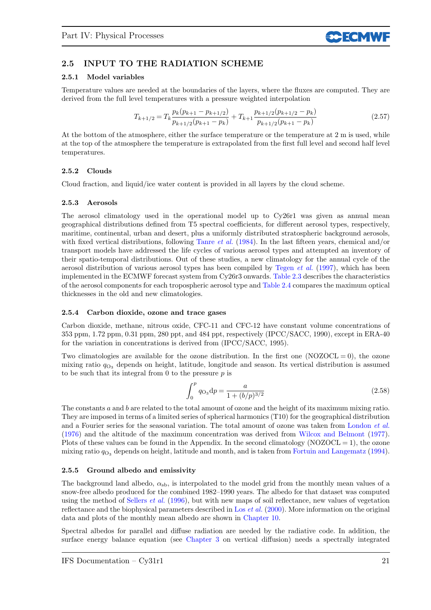

### 2.5 INPUT TO THE RADIATION SCHEME

### 2.5.1 Model variables

Temperature values are needed at the boundaries of the layers, where the fluxes are computed. They are derived from the full level temperatures with a pressure weighted interpolation

$$
T_{k+1/2} = T_k \frac{p_k(p_{k+1} - p_{k+1/2})}{p_{k+1/2}(p_{k+1} - p_k)} + T_{k+1} \frac{p_{k+1/2}(p_{k+1/2} - p_k)}{p_{k+1/2}(p_{k+1} - p_k)}
$$
(2.57)

At the bottom of the atmosphere, either the surface temperature or the temperature at 2 m is used, while at the top of the atmosphere the temperature is extrapolated from the first full level and second half level temperatures.

### 2.5.2 Clouds

Cloud fraction, and liquid/ice water content is provided in all layers by the cloud scheme.

#### 2.5.3 Aerosols

The aerosol climatology used in the operational model up to Cy26r1 was given as annual mean geographical distributions defined from T5 spectral coefficients, for different aerosol types, respectively, maritime, continental, urban and desert, plus a uniformly distributed stratospheric background aerosols, with fixed vertical distributions, following Tanre *et al.* (1984). In the last fifteen years, chemical and/or transport models have addressed the life cycles of various aerosol types and attempted an inventory of their spatio-temporal distributions. Out of these studies, a new climatology for the annual cycle of the aerosol distribution of various aerosol types has been compiled by Tegen  $et \ al.$  (1997), which has been implemented in the ECMWF forecast system from Cy26r3 onwards. Table 2.3 describes the characteristics of the aerosol components for each tropospheric aerosol type and Table 2.4 compares the maximum optical thicknesses in the old and new climatologies.

### 2.5.4 Carbon dioxide, ozone and trace gases

Carbon dioxide, methane, nitrous oxide, CFC-11 and CFC-12 have constant volume concentrations of 353 ppm, 1.72 ppm, 0.31 ppm, 280 ppt, and 484 ppt, respectively (IPCC/SACC, 1990), except in ERA-40 for the variation in concentrations is derived from (IPCC/SACC, 1995).

Two climatologies are available for the ozone distribution. In the first one (NOZOCL  $= 0$ ), the ozone mixing ratio  $q_{\text{O}_3}$  depends on height, latitude, longitude and season. Its vertical distribution is assumed to be such that its integral from 0 to the pressure  $p$  is

$$
\int_0^p q_{\text{O}_3} \, \mathrm{d}p = \frac{a}{1 + (b/p)^{3/2}} \tag{2.58}
$$

The constants a and b are related to the total amount of ozone and the height of its maximum mixing ratio. They are imposed in terms of a limited series of spherical harmonics (T10) for the geographical distribution and a Fourier series for the seasonal variation. The total amount of ozone was taken from London et al. (1976) and the altitude of the maximum concentration was derived from Wilcox and Belmont (1977). Plots of these values can be found in the Appendix. In the second climatology  $(NOZOCL = 1)$ , the ozone mixing ratio  $q_{\text{O}_3}$  depends on height, latitude and month, and is taken from Fortuin and Langematz (1994).

### 2.5.5 Ground albedo and emissivity

The background land albedo,  $\alpha_{sb}$ , is interpolated to the model grid from the monthly mean values of a snow-free albedo produced for the combined 1982–1990 years. The albedo for that dataset was computed using the method of Sellers *et al.* (1996), but with new maps of soil reflectance, new values of vegetation reflectance and the biophysical parameters described in Los *et al.*  $(2000)$ . More information on the original data and plots of the monthly mean albedo are shown in Chapter 10.

Spectral albedos for parallel and diffuse radiation are needed by the radiative code. In addition, the surface energy balance equation (see Chapter 3 on vertical diffusion) needs a spectrally integrated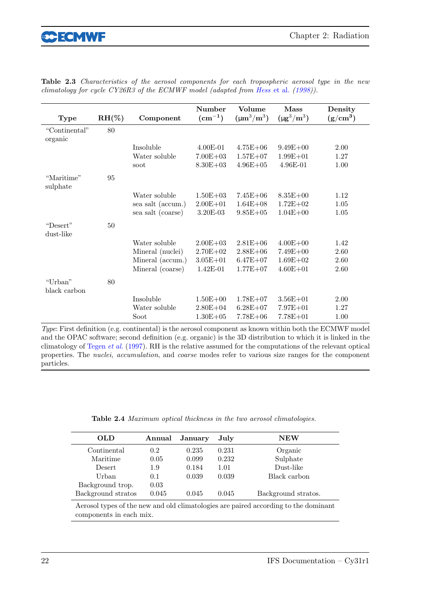| <b>Type</b>              | $RH(\%)$ | Component         | Number<br>$\rm (cm^{-1})$ | Volume<br>$(\mu m^3/m^3)$ | Mass<br>$(\mu g^3/m^3)$ | Density<br>$(g/cm^3)$ |
|--------------------------|----------|-------------------|---------------------------|---------------------------|-------------------------|-----------------------|
| "Continental"<br>organic | 80       |                   |                           |                           |                         |                       |
|                          |          | Insoluble         | $4.00E-01$                | $4.75E + 06$              | $9.49E + 00$            | 2.00                  |
|                          |          | Water soluble     | $7.00E + 03$              | $1.57E + 07$              | $1.99E + 01$            | 1.27                  |
|                          |          | soot              | $8.30E + 03$              | $4.96E + 05$              | 4.96E-01                | 1.00                  |
| "Maritime"<br>sulphate   | 95       |                   |                           |                           |                         |                       |
|                          |          | Water soluble     | $1.50E + 03$              | $7.45E + 06$              | $8.35E + 00$            | 1.12                  |
|                          |          | sea salt (accum.) | $2.00E + 01$              | $1.64E + 08$              | $1.72E + 02$            | 1.05                  |
|                          |          | sea salt (coarse) | 3.20E-03                  | $9.85E + 05$              | $1.04E + 00$            | 1.05                  |
| "Desert"<br>dust-like    | 50       |                   |                           |                           |                         |                       |
|                          |          | Water soluble     | $2.00E + 03$              | $2.81E + 06$              | $4.00E + 00$            | 1.42                  |
|                          |          | Mineral (nuclei)  | $2.70E + 02$              | $2.88E + 06$              | $7.49E + 00$            | 2.60                  |
|                          |          | Mineral (accum.)  | $3.05E + 01$              | $6.47E + 07$              | $1.69E + 02$            | 2.60                  |
|                          |          | Mineral (coarse)  | $1.42E-01$                | $1.77E + 07$              | $4.60E + 01$            | 2.60                  |
| "Urban"<br>black carbon  | 80       |                   |                           |                           |                         |                       |
|                          |          | Insoluble         | $1.50E + 00$              | $1.78E + 07$              | $3.56E + 01$            | 2.00                  |
|                          |          | Water soluble     | $2.80E + 04$              | $6.28E + 07$              | $7.97E + 01$            | 1.27                  |
|                          |          | Soot              | $1.30E + 05$              | $7.78E + 06$              | $7.78E + 01$            | 1.00                  |

Table 2.3 Characteristics of the aerosol components for each tropospheric aerosol type in the new climatology for cycle CY26R3 of the ECMWF model (adapted from Hess et al. (1998)).

Type: First definition (e.g. continental) is the aerosol component as known within both the ECMWF model and the OPAC software; second definition (e.g. organic) is the 3D distribution to which it is linked in the climatology of Tegen et al. (1997). RH is the relative assumed for the computations of the relevant optical properties. The nuclei, accumulation, and coarse modes refer to various size ranges for the component particles.

Table 2.4 Maximum optical thickness in the two aerosol climatologies.

| OLD                                                                                 | Annual | January | July  | ${\bf NEW}$         |  |
|-------------------------------------------------------------------------------------|--------|---------|-------|---------------------|--|
| Continental                                                                         | 0.2    | 0.235   | 0.231 | Organic             |  |
| Maritime                                                                            | 0.05   | 0.099   | 0.232 | Sulphate            |  |
| Desert                                                                              | 1.9    | 0.184   | 1.01  | Dust-like           |  |
| Urban                                                                               | 0.1    | 0.039   | 0.039 | Black carbon        |  |
| Background trop.                                                                    | 0.03   |         |       |                     |  |
| Background stratos                                                                  | 0.045  | 0.045   | 0.045 | Background stratos. |  |
| Aerosol types of the new and old climatologies are paired according to the dominant |        |         |       |                     |  |
| components in each mix.                                                             |        |         |       |                     |  |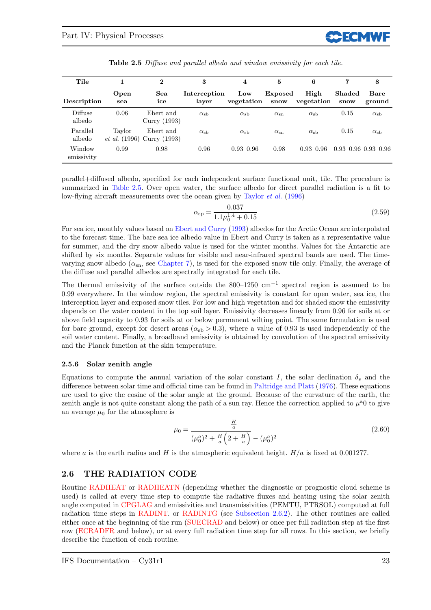| Tile                 |                                | $\bf{2}$                  | 3                     | 4                 | 5                      | 6                  | 7              | 8                           |
|----------------------|--------------------------------|---------------------------|-----------------------|-------------------|------------------------|--------------------|----------------|-----------------------------|
| Description          | Open<br>sea                    | Sea<br>ice                | Interception<br>layer | Low<br>vegetation | <b>Exposed</b><br>snow | High<br>vegetation | Shaded<br>snow | <b>Bare</b><br>ground       |
| Diffuse<br>albedo    | 0.06                           | Ebert and<br>Curry (1993) | $\alpha_{\rm sb}$     | $\alpha_{\rm sb}$ | $\alpha_{\rm sn}$      | $\alpha_{\rm sb}$  | 0.15           | $\alpha_{\rm sb}$           |
| Parallel<br>albedo   | Tavlor<br><i>et al.</i> (1996) | Ebert and<br>Curry (1993) | $\alpha_{\rm sh}$     | $\alpha_{\rm sb}$ | $\alpha_{\rm sn}$      | $\alpha_{\rm sb}$  | 0.15           | $\alpha_{\rm sb}$           |
| Window<br>emissivity | 0.99                           | 0.98                      | 0.96                  | $0.93 - 0.96$     | 0.98                   | $0.93 - 0.96$      |                | $0.93 - 0.96$ $0.93 - 0.96$ |

Table 2.5 Diffuse and parallel albedo and window emissivity for each tile.

parallel+diffused albedo, specified for each independent surface functional unit, tile. The procedure is summarized in Table 2.5. Over open water, the surface albedo for direct parallel radiation is a fit to low-flying aircraft measurements over the ocean given by Taylor et al. (1996)

$$
\alpha_{\rm sp} = \frac{0.037}{1.1\mu_0^{1.4} + 0.15} \tag{2.59}
$$

For sea ice, monthly values based on Ebert and Curry (1993) albedos for the Arctic Ocean are interpolated to the forecast time. The bare sea ice albedo value in Ebert and Curry is taken as a representative value for summer, and the dry snow albedo value is used for the winter months. Values for the Antarctic are shifted by six months. Separate values for visible and near-infrared spectral bands are used. The timevarying snow albedo  $(\alpha_{\rm sn}$ , see Chapter 7), is used for the exposed snow tile only. Finally, the average of the diffuse and parallel albedos are spectrally integrated for each tile.

The thermal emissivity of the surface outside the 800–1250 cm<sup>−</sup><sup>1</sup> spectral region is assumed to be 0.99 everywhere. In the window region, the spectral emissivity is constant for open water, sea ice, the interception layer and exposed snow tiles. For low and high vegetation and for shaded snow the emissivity depends on the water content in the top soil layer. Emissivity decreases linearly from 0.96 for soils at or above field capacity to 0.93 for soils at or below permanent wilting point. The same formulation is used for bare ground, except for desert areas  $(\alpha_{sb} > 0.3)$ , where a value of 0.93 is used independently of the soil water content. Finally, a broadband emissivity is obtained by convolution of the spectral emissivity and the Planck function at the skin temperature.

### 2.5.6 Solar zenith angle

Equations to compute the annual variation of the solar constant I, the solar declination  $\delta_s$  and the difference between solar time and official time can be found in Paltridge and Platt (1976). These equations are used to give the cosine of the solar angle at the ground. Because of the curvature of the earth, the zenith angle is not quite constant along the path of a sun ray. Hence the correction applied to  $\mu^a$ 0 to give an average  $\mu_0$  for the atmosphere is

$$
\mu_0 = \frac{\frac{H}{a}}{(\mu_0^a)^2 + \frac{H}{a}\left(2 + \frac{H}{a}\right) - (\mu_0^a)^2}
$$
\n(2.60)

where a is the earth radius and H is the atmospheric equivalent height.  $H/a$  is fixed at 0.001277.

### 2.6 THE RADIATION CODE

Routine RADHEAT or RADHEATN (depending whether the diagnostic or prognostic cloud scheme is used) is called at every time step to compute the radiative fluxes and heating using the solar zenith angle computed in CPGLAG and emissivities and transmissivities (PEMTU, PTRSOL) computed at full radiation time steps in RADINT. or RADINTG (see Subsection 2.6.2). The other routines are called either once at the beginning of the run (SUECRAD and below) or once per full radiation step at the first row (ECRADFR and below), or at every full radiation time step for all rows. In this section, we briefly describe the function of each routine.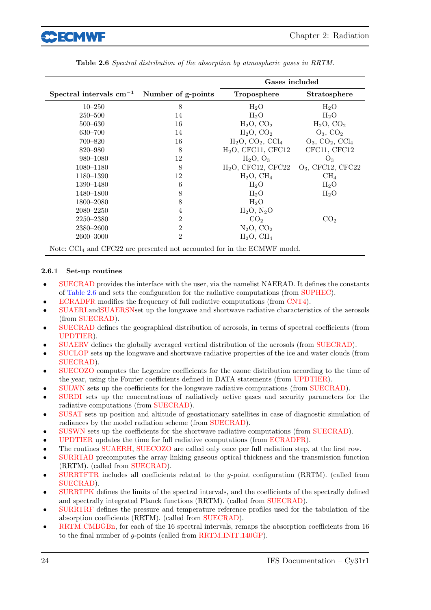

|                                                                                             |                    | Gases included       |                          |
|---------------------------------------------------------------------------------------------|--------------------|----------------------|--------------------------|
| Spectral intervals $cm^{-1}$                                                                | Number of g-points | Troposphere          | <b>Stratosphere</b>      |
| $10 - 250$                                                                                  | 8                  | $H_2O$               | $H_2O$                   |
| $250 - 500$                                                                                 | 14                 | $H_2O$               | $H_2O$                   |
| $500 - 630$                                                                                 | 16                 | $H_2O, CO_2$         | $H_2O$ , $CO_2$          |
| $630 - 700$                                                                                 | 14                 | $H_2O, CO_2$         | $O_3$ , $CO_2$           |
| 700–820                                                                                     | 16                 | $H_2O, CO_2, CCl_4$  | $O_3$ , $CO_2$ , $CCl_4$ |
| 820-980                                                                                     | 8                  | $H2O$ , CFC11, CFC12 | CFC11, CFC12             |
| 980-1080                                                                                    | 12                 | $H_2O, O_3$          | $O_3$                    |
| 1080-1180                                                                                   | 8                  | $H2O$ , CFC12, CFC22 | $O_3$ , CFC12, CFC22     |
| 1180–1390                                                                                   | 12                 | $H_2O$ , $CH_4$      | CH <sub>4</sub>          |
| 1390-1480                                                                                   | 6                  | $H_2O$               | $H_2O$                   |
| 1480–1800                                                                                   | 8                  | $H_2O$               | $H_2O$                   |
| 1800-2080                                                                                   | 8                  | $H_2O$               |                          |
| $2080 - 2250$                                                                               | 4                  | $H_2O, N_2O$         |                          |
| $2250 - 2380$                                                                               | $\overline{2}$     | CO <sub>2</sub>      | CO <sub>2</sub>          |
| $2380 - 2600$                                                                               | $\overline{2}$     | $N_2O, CO_2$         |                          |
| 2600-3000                                                                                   | $\mathfrak{D}$     | $H_2O, CH_4$         |                          |
| Note: $\text{CCl}_4$ and $\text{CFC22}$ are presented not accounted for in the ECMWF model. |                    |                      |                          |

Table 2.6 Spectral distribution of the absorption by atmospheric gases in RRTM.

### 2.6.1 Set-up routines

- SUECRAD provides the interface with the user, via the namelist NAERAD. It defines the constants of Table 2.6 and sets the configuration for the radiative computations (from SUPHEC).
- ECRADFR modifies the frequency of full radiative computations (from CNT4).
- SUAERLandSUAERSNset up the longwave and shortwave radiative characteristics of the aerosols (from SUECRAD).
- SUECRAD defines the geographical distribution of aerosols, in terms of spectral coefficients (from UPDTIER).
- SUAERV defines the globally averaged vertical distribution of the aerosols (from SUECRAD).
- SUCLOP sets up the longwave and shortwave radiative properties of the ice and water clouds (from SUECRAD).
- SUECOZO computes the Legendre coefficients for the ozone distribution according to the time of the year, using the Fourier coefficients defined in DATA statements (from UPDTIER).
- SULWN sets up the coefficients for the longwave radiative computations (from SUECRAD).
- SURDI sets up the concentrations of radiatively active gases and security parameters for the radiative computations (from SUECRAD).
- SUSAT sets up position and altitude of geostationary satellites in case of diagnostic simulation of radiances by the model radiation scheme (from SUECRAD).
- SUSWN sets up the coefficients for the shortwave radiative computations (from SUECRAD).
- UPDTIER updates the time for full radiative computations (from ECRADFR).
- The routines SUAERH, SUECOZO are called only once per full radiation step, at the first row.
- SURRTAB precomputes the array linking gaseous optical thickness and the transmission function (RRTM). (called from SUECRAD).
- SURRTFTR includes all coefficients related to the g-point configuration (RRTM). (called from SUECRAD).
- SURRTPK defines the limits of the spectral intervals, and the coefficients of the spectrally defined and spectrally integrated Planck functions (RRTM). (called from SUECRAD).
- SURRTRF defines the pressure and temperature reference profiles used for the tabulation of the absorption coefficients (RRTM). (called from SUECRAD).
- RRTM\_CMBGBn, for each of the 16 spectral intervals, remaps the absorption coefficients from 16 to the final number of g-points (called from RRTM INIT 140GP).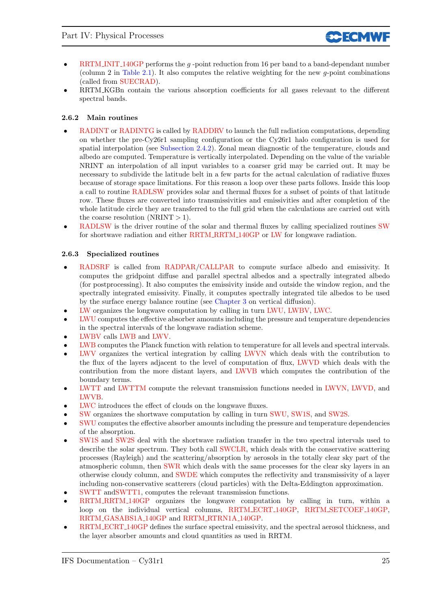- RRTM INIT 140GP performs the  $q$ -point reduction from 16 per band to a band-dependant number (column 2 in Table 2.1). It also computes the relative weighting for the new g-point combinations (called from SUECRAD).
- RRTM KGBn contain the various absorption coefficients for all gases relevant to the different spectral bands.

### 2.6.2 Main routines

- RADINT or RADINTG is called by RADDRV to launch the full radiation computations, depending on whether the pre-Cy26r1 sampling configuration or the Cy26r1 halo configuration is used for spatial interpolation (see Subsection 2.4.2). Zonal mean diagnostic of the temperature, clouds and albedo are computed. Temperature is vertically interpolated. Depending on the value of the variable NRINT an interpolation of all input variables to a coarser grid may be carried out. It may be necessary to subdivide the latitude belt in a few parts for the actual calculation of radiative fluxes because of storage space limitations. For this reason a loop over these parts follows. Inside this loop a call to routine RADLSW provides solar and thermal fluxes for a subset of points of that latitude row. These fluxes are converted into transmissivities and emissivities and after completion of the whole latitude circle they are transferred to the full grid when the calculations are carried out with the coarse resolution  $(NRINT > 1)$ .
- RADLSW is the driver routine of the solar and thermal fluxes by calling specialized routines SW for shortwave radiation and either RRTM RRTM 140GP or LW for longwave radiation.

### 2.6.3 Specialized routines

- RADSRF is called from RADPAR/CALLPAR to compute surface albedo and emissivity. It computes the gridpoint diffuse and parallel spectral albedos and a spectrally integrated albedo (for postprocessing). It also computes the emissivity inside and outside the window region, and the spectrally integrated emissivity. Finally, it computes spectrally integrated tile albedos to be used by the surface energy balance routine (see Chapter 3 on vertical diffusion).
- LW organizes the longwave computation by calling in turn LWU, LWBV, LWC.
- LWU computes the effective absorber amounts including the pressure and temperature dependencies in the spectral intervals of the longwave radiation scheme.
- LWBV calls LWB and LWV.
- LWB computes the Planck function with relation to temperature for all levels and spectral intervals.
- LWV organizes the vertical integration by calling LWVN which deals with the contribution to the flux of the layers adjacent to the level of computation of flux, LWVD which deals with the contribution from the more distant layers, and LWVB which computes the contribution of the boundary terms.
- LWTT and LWTTM compute the relevant transmission functions needed in LWVN, LWVD, and LWVB.
- LWC introduces the effect of clouds on the longwave fluxes.
- SW organizes the shortwave computation by calling in turn SWU, SW1S, and SW2S.
- SWU computes the effective absorber amounts including the pressure and temperature dependencies of the absorption.
- SW1S and SW2S deal with the shortwave radiation transfer in the two spectral intervals used to describe the solar spectrum. They both call SWCLR, which deals with the conservative scattering processes (Rayleigh) and the scattering/absorption by aerosols in the totally clear sky part of the atmospheric column, then SWR which deals with the same processes for the clear sky layers in an otherwise cloudy column, and SWDE which computes the reflectivity and transmissivity of a layer including non-conservative scatterers (cloud particles) with the Delta-Eddington approximation.
- SWTT andSWTT1, computes the relevant transmission functions.
- RRTM\_RRTM\_140GP organizes the longwave computation by calling in turn, within a loop on the individual vertical columns, RRTM ECRT 140GP, RRTM SETCOEF 140GP, RRTM GASABS1A 140GP and RRTM RTRN1A 140GP.
- RRTM ECRT 140GP defines the surface spectral emissivity, and the spectral aerosol thickness, and the layer absorber amounts and cloud quantities as used in RRTM.

**CCECMWR**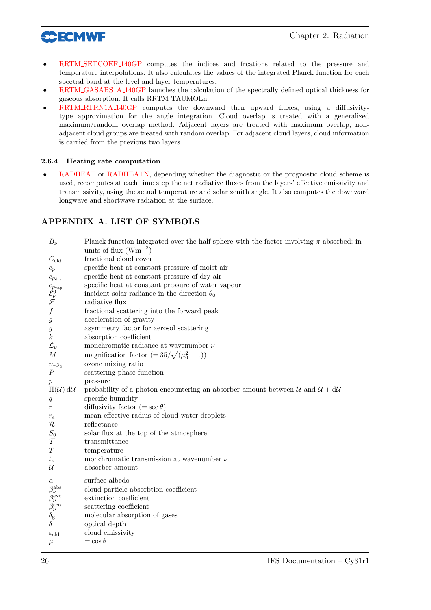

- RRTM SETCOEF 140GP computes the indices and frcations related to the pressure and temperature interpolations. It also calculates the values of the integrated Planck function for each spectral band at the level and layer temperatures.
- RRTM GASABS1A 140GP launches the calculation of the spectrally defined optical thickness for gaseous absorption. It calls RRTM TAUMOLn.
- RRTM RTRN1A 140GP computes the downward then upward fluxes, using a diffusivitytype approximation for the angle integration. Cloud overlap is treated with a generalized maximum/random overlap method. Adjacent layers are treated with maximum overlap, nonadjacent cloud groups are treated with random overlap. For adjacent cloud layers, cloud information is carried from the previous two layers.

### 2.6.4 Heating rate computation

• RADHEAT or RADHEATN, depending whether the diagnostic or the prognostic cloud scheme is used, recomputes at each time step the net radiative fluxes from the layers' effective emissivity and transmissivity, using the actual temperature and solar zenith angle. It also computes the downward longwave and shortwave radiation at the surface.

### APPENDIX A. LIST OF SYMBOLS

| $B_{\nu}$                                                                | Planck function integrated over the half sphere with the factor involving $\pi$ absorbed: in<br>units of flux $(\text{Wm}^{-2})$ |
|--------------------------------------------------------------------------|----------------------------------------------------------------------------------------------------------------------------------|
| $C_{\rm cld}$                                                            | fractional cloud cover                                                                                                           |
| $c_p$                                                                    | specific heat at constant pressure of moist air                                                                                  |
| $c_{p_{\mathrm{dry}}}$                                                   | specific heat at constant pressure of dry air                                                                                    |
|                                                                          | specific heat at constant pressure of water vapour                                                                               |
|                                                                          | incident solar radiance in the direction $\theta_0$                                                                              |
| $\begin{array}{c} c_{p_{\rm vap}}\ {\cal E}^0_\nu\ {\cal F} \end{array}$ | radiative flux                                                                                                                   |
| $\boldsymbol{f}$                                                         | fractional scattering into the forward peak                                                                                      |
| $\mathfrak{g}$                                                           | acceleration of gravity                                                                                                          |
| g                                                                        | asymmetry factor for aerosol scattering                                                                                          |
| $\boldsymbol{k}$                                                         | absorption coefficient                                                                                                           |
| $\mathcal{L}_{\nu}$                                                      | monchromatic radiance at wavenumber $\nu$                                                                                        |
| $\overline{M}$                                                           | magnification factor $(=35/\sqrt{(\mu_0^2+1)})$                                                                                  |
| $m_{O_3}$                                                                | ozone mixing ratio                                                                                                               |
| $\overline{P}$                                                           | scattering phase function                                                                                                        |
| $p_{\parallel}$                                                          | pressure                                                                                                                         |
| $\Pi(\mathcal{U})$ d $\mathcal{U}$                                       | probability of a photon encountering an absorber amount between $\mathcal{U}$ and $\mathcal{U} + d\mathcal{U}$                   |
| q                                                                        | specific humidity                                                                                                                |
| $\boldsymbol{r}$                                                         | diffusivity factor (= $\sec \theta$ )                                                                                            |
| $r_{e}$                                                                  | mean effective radius of cloud water droplets                                                                                    |
| $\mathcal R$                                                             | reflectance                                                                                                                      |
| $S_0$                                                                    | solar flux at the top of the atmosphere                                                                                          |
| $\mathcal T$                                                             | transmittance                                                                                                                    |
| T                                                                        | temperature                                                                                                                      |
| $t_{\nu}$                                                                | monchromatic transmission at wavenumber $\nu$                                                                                    |
| $\mathcal U$                                                             | absorber amount                                                                                                                  |
| $\alpha$                                                                 | surface albedo                                                                                                                   |
| $\beta_\nu^{\rm abs}$                                                    | cloud particle absorbtion coefficient                                                                                            |
|                                                                          | extinction coefficient                                                                                                           |
| $\beta_{\nu}^{\rm ext}$<br>$\beta_{\nu}^{\rm sca}$                       | scattering coefficient                                                                                                           |
| $\delta_{\rm g}$                                                         | molecular absorption of gases                                                                                                    |
| δ                                                                        | optical depth                                                                                                                    |
| $\varepsilon_{\text{cld}}$                                               | cloud emissivity                                                                                                                 |
| $\mu$                                                                    | $=\cos\theta$                                                                                                                    |
|                                                                          |                                                                                                                                  |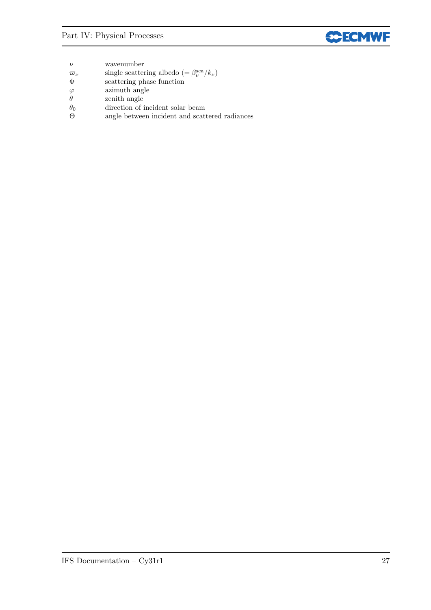| $\boldsymbol{\nu}$ | wavenumber |
|--------------------|------------|
|                    |            |

- $\varpi_{\nu}$  single scattering albedo (=  $\beta_{\nu}^{\text{sca}}/k_{\nu}$ )
- Φ scattering phase function
- $\varphi$  azimuth angle<br>  $\theta$  zenith angle
- zenith angle
- $θ<sub>0</sub>$  direction of incident solar beam<br>  $Θ$  angle between incident and scat
- angle between incident and scattered radiances  $% \alpha$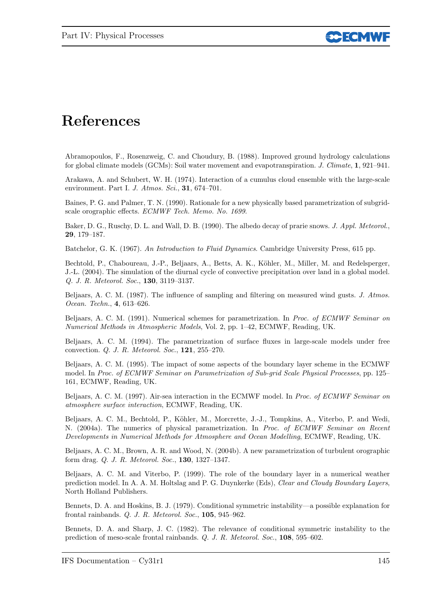

## References

Abramopoulos, F., Rosenzweig, C. and Choudury, B. (1988). Improved ground hydrology calculations for global climate models (GCMs): Soil water movement and evapotranspiration. J. Climate, 1, 921–941.

Arakawa, A. and Schubert, W. H. (1974). Interaction of a cumulus cloud ensemble with the large-scale environment. Part I. J. Atmos. Sci., 31, 674–701.

Baines, P. G. and Palmer, T. N. (1990). Rationale for a new physically based parametrization of subgridscale orographic effects. ECMWF Tech. Memo. No. 1699.

Baker, D. G., Ruschy, D. L. and Wall, D. B. (1990). The albedo decay of prarie snows. J. Appl. Meteorol., 29, 179–187.

Batchelor, G. K. (1967). An Introduction to Fluid Dynamics. Cambridge University Press, 615 pp.

Bechtold, P., Chaboureau, J.-P., Beljaars, A., Betts, A. K., K¨ohler, M., Miller, M. and Redelsperger, J.-L. (2004). The simulation of the diurnal cycle of convective precipitation over land in a global model. Q. J. R. Meteorol. Soc., 130, 3119–3137.

Beljaars, A. C. M. (1987). The influence of sampling and filtering on measured wind gusts. J. Atmos. Ocean. Techn., 4, 613–626.

Beljaars, A. C. M. (1991). Numerical schemes for parametrization. In Proc. of ECMWF Seminar on Numerical Methods in Atmospheric Models, Vol. 2, pp. 1–42, ECMWF, Reading, UK.

Beljaars, A. C. M. (1994). The parametrization of surface fluxes in large-scale models under free convection. Q. J. R. Meteorol. Soc., 121, 255–270.

Beljaars, A. C. M. (1995). The impact of some aspects of the boundary layer scheme in the ECMWF model. In Proc. of ECMWF Seminar on Parametrization of Sub-grid Scale Physical Processes, pp. 125– 161, ECMWF, Reading, UK.

Beljaars, A. C. M. (1997). Air-sea interaction in the ECMWF model. In Proc. of ECMWF Seminar on atmosphere surface interaction, ECMWF, Reading, UK.

Beljaars, A. C. M., Bechtold, P., Köhler, M., Morcrette, J.-J., Tompkins, A., Viterbo, P. and Wedi, N. (2004a). The numerics of physical parametrization. In Proc. of ECMWF Seminar on Recent Developments in Numerical Methods for Atmosphere and Ocean Modelling, ECMWF, Reading, UK.

Beljaars, A. C. M., Brown, A. R. and Wood, N. (2004b). A new parametrization of turbulent orographic form drag. Q. J. R. Meteorol. Soc., 130, 1327–1347.

Beljaars, A. C. M. and Viterbo, P. (1999). The role of the boundary layer in a numerical weather prediction model. In A. A. M. Holtslag and P. G. Duynkerke (Eds), Clear and Cloudy Boundary Layers, North Holland Publishers.

Bennets, D. A. and Hoskins, B. J. (1979). Conditional symmetric instability—a possible explanation for frontal rainbands. Q. J. R. Meteorol. Soc., 105, 945–962.

Bennets, D. A. and Sharp, J. C. (1982). The relevance of conditional symmetric instability to the prediction of meso-scale frontal rainbands. Q. J. R. Meteorol. Soc., 108, 595–602.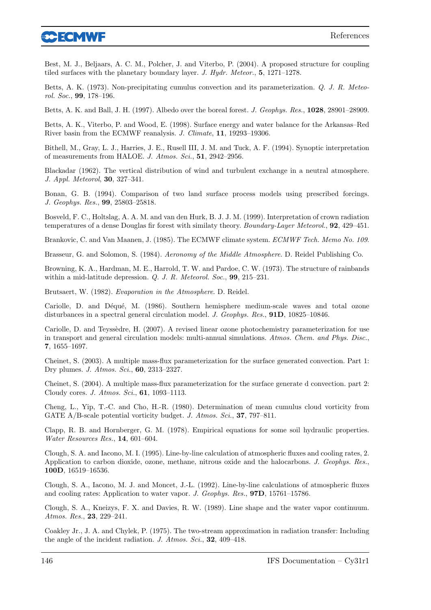

Best, M. J., Beljaars, A. C. M., Polcher, J. and Viterbo, P. (2004). A proposed structure for coupling tiled surfaces with the planetary boundary layer. J. Hydr. Meteor., 5, 1271–1278.

Betts, A. K. (1973). Non-precipitating cumulus convection and its parameterization. Q. J. R. Meteorol. Soc., 99, 178–196.

Betts, A. K. and Ball, J. H. (1997). Albedo over the boreal forest. J. Geophys. Res., 1028, 28901–28909.

Betts, A. K., Viterbo, P. and Wood, E. (1998). Surface energy and water balance for the Arkansas–Red River basin from the ECMWF reanalysis. J. Climate, 11, 19293–19306.

Bithell, M., Gray, L. J., Harries, J. E., Rusell III, J. M. and Tuck, A. F. (1994). Synoptic interpretation of measurements from HALOE. J. Atmos. Sci., 51, 2942–2956.

Blackadar (1962). The vertical distribution of wind and turbulent exchange in a neutral atmosphere. J. Appl. Meteorol, 30, 327–341.

Bonan, G. B. (1994). Comparison of two land surface process models using prescribed forcings. J. Geophys. Res., 99, 25803–25818.

Bosveld, F. C., Holtslag, A. A. M. and van den Hurk, B. J. J. M. (1999). Interpretation of crown radiation temperatures of a dense Douglas fir forest with similaty theory. Boundary-Layer Meteorol., 92, 429–451.

Brankovic, C. and Van Maanen, J. (1985). The ECMWF climate system. ECMWF Tech. Memo No. 109.

Brasseur, G. and Solomon, S. (1984). Aeronomy of the Middle Atmosphere. D. Reidel Publishing Co.

Browning, K. A., Hardman, M. E., Harrold, T. W. and Pardoe, C. W. (1973). The structure of rainbands within a mid-latitude depression. Q. J. R. Meteorol. Soc., 99, 215–231.

Brutsaert, W. (1982). Evaporation in the Atmosphere. D. Reidel.

Cariolle, D. and Déqué, M. (1986). Southern hemisphere medium-scale waves and total ozone disturbances in a spectral general circulation model. J. Geophys. Res., 91D, 10825-10846.

Cariolle, D. and Teyssèdre, H. (2007). A revised linear ozone photochemistry parameterization for use in transport and general circulation models: multi-annual simulations. Atmos. Chem. and Phys. Disc., 7, 1655–1697.

Cheinet, S. (2003). A multiple mass-flux parameterization for the surface generated convection. Part 1: Dry plumes. J. Atmos. Sci., 60, 2313–2327.

Cheinet, S. (2004). A multiple mass-flux parameterization for the surface generate d convection. part 2: Cloudy cores. J. Atmos. Sci., 61, 1093–1113.

Cheng, L., Yip, T.-C. and Cho, H.-R. (1980). Determination of mean cumulus cloud vorticity from GATE A/B-scale potential vorticity budget. J. Atmos. Sci., 37, 797–811.

Clapp, R. B. and Hornberger, G. M. (1978). Empirical equations for some soil hydraulic properties. Water Resources Res., 14, 601–604.

Clough, S. A. and Iacono, M. I. (1995). Line-by-line calculation of atmospheric fluxes and cooling rates, 2. Application to carbon dioxide, ozone, methane, nitrous oxide and the halocarbons. J. Geophys. Res., 100D, 16519–16536.

Clough, S. A., Iacono, M. J. and Moncet, J.-L. (1992). Line-by-line calculations of atmospheric fluxes and cooling rates: Application to water vapor. J. Geophys. Res., 97D, 15761–15786.

Clough, S. A., Kneizys, F. X. and Davies, R. W. (1989). Line shape and the water vapor continuum. Atmos. Res., 23, 229–241.

Coakley Jr., J. A. and Chylek, P. (1975). The two-stream approximation in radiation transfer: Including the angle of the incident radiation. J. Atmos. Sci., 32, 409–418.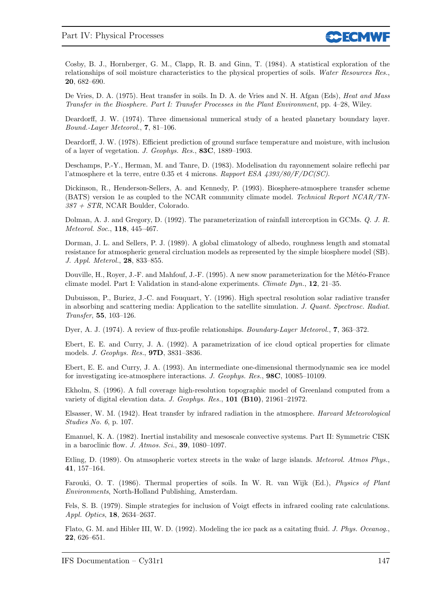

Cosby, B. J., Hornberger, G. M., Clapp, R. B. and Ginn, T. (1984). A statistical exploration of the relationships of soil moisture characteristics to the physical properties of soils. Water Resources Res., 20, 682–690.

De Vries, D. A. (1975). Heat transfer in soils. In D. A. de Vries and N. H. Afgan (Eds), Heat and Mass Transfer in the Biosphere. Part I: Transfer Processes in the Plant Environment, pp. 4–28, Wiley.

Deardorff, J. W. (1974). Three dimensional numerical study of a heated planetary boundary layer. Bound.-Layer Meteorol., 7, 81–106.

Deardorff, J. W. (1978). Efficient prediction of ground surface temperature and moisture, with inclusion of a layer of vegetation. J. Geophys. Res., 83C, 1889–1903.

Deschamps, P.-Y., Herman, M. and Tanre, D. (1983). Modelisation du rayonnement solaire reflechi par l'atmosphere et la terre, entre 0.35 et 4 microns. Rapport ESA 4393/80/F/DC(SC).

Dickinson, R., Henderson-Sellers, A. and Kennedy, P. (1993). Biosphere-atmosphere transfer scheme (BATS) version 1e as coupled to the NCAR community climate model. Technical Report NCAR/TN-387 + STR, NCAR Boulder, Colorado.

Dolman, A. J. and Gregory, D. (1992). The parameterization of rainfall interception in GCMs. Q. J. R. Meteorol. Soc., 118, 445–467.

Dorman, J. L. and Sellers, P. J. (1989). A global climatology of albedo, roughness length and stomatal resistance for atmospheric general circluation models as represented by the simple biosphere model (SB). J. Appl. Meterol., 28, 833–855.

Douville, H., Royer, J.-F. and Mahfouf, J.-F. (1995). A new snow parameterization for the Météo-France climate model. Part I: Validation in stand-alone experiments. Climate Dyn., 12, 21–35.

Dubuisson, P., Buriez, J.-C. and Fouquart, Y. (1996). High spectral resolution solar radiative transfer in absorbing and scattering media: Application to the satellite simulation. J. Quant. Spectrosc. Radiat. Transfer, 55, 103–126.

Dyer, A. J. (1974). A review of flux-profile relationships. *Boundary-Layer Meteorol.*, **7.** 363–372.

Ebert, E. E. and Curry, J. A. (1992). A parametrization of ice cloud optical properties for climate models. J. Geophys. Res., 97D, 3831–3836.

Ebert, E. E. and Curry, J. A. (1993). An intermediate one-dimensional thermodynamic sea ice model for investigating ice-atmosphere interactions. J. Geophys. Res., 98C, 10085–10109.

Ekholm, S. (1996). A full coverage high-resolution topographic model of Greenland computed from a variety of digital elevation data. J. Geophys. Res., 101 (B10), 21961–21972.

Elsasser, W. M. (1942). Heat transfer by infrared radiation in the atmosphere. Harvard Meteorological Studies No. 6, p. 107.

Emanuel, K. A. (1982). Inertial instability and mesoscale convective systems. Part II: Symmetric CISK in a baroclinic flow. J. Atmos. Sci., 39, 1080–1097.

Etling, D. (1989). On atmsopheric vortex streets in the wake of large islands. Meteorol. Atmos Phys., 41, 157–164.

Farouki, O. T. (1986). Thermal properties of soils. In W. R. van Wijk (Ed.), Physics of Plant Environments, North-Holland Publishing, Amsterdam.

Fels, S. B. (1979). Simple strategies for inclusion of Voigt effects in infrared cooling rate calculations. Appl. Optics, 18, 2634–2637.

Flato, G. M. and Hibler III, W. D. (1992). Modeling the ice pack as a caitating fluid. J. Phys. Oceanog., 22, 626–651.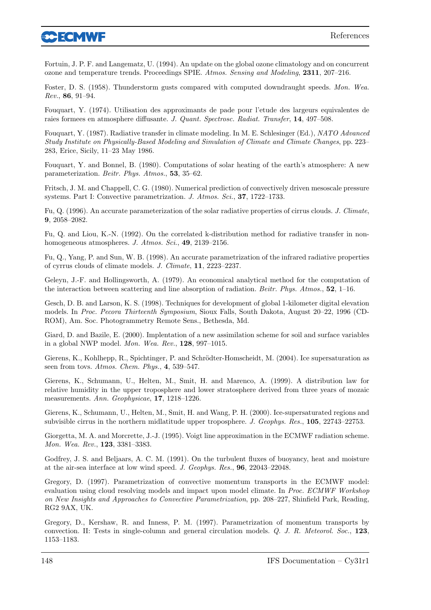

Fortuin, J. P. F. and Langematz, U. (1994). An update on the global ozone climatology and on concurrent ozone and temperature trends. Proceedings SPIE. Atmos. Sensing and Modeling, 2311, 207–216.

Foster, D. S. (1958). Thunderstorm gusts compared with computed downdraught speeds. Mon. Wea. Rev., 86, 91–94.

Fouquart, Y. (1974). Utilisation des approximants de pade pour l'etude des largeurs equivalentes de raies formees en atmosphere diffusante. J. Quant. Spectrosc. Radiat. Transfer, 14, 497–508.

Fouquart, Y. (1987). Radiative transfer in climate modeling. In M. E. Schlesinger (Ed.), NATO Advanced Study Institute on Physically-Based Modeling and Simulation of Climate and Climate Changes, pp. 223– 283, Erice, Sicily, 11–23 May 1986.

Fouquart, Y. and Bonnel, B. (1980). Computations of solar heating of the earth's atmosphere: A new parameterization. Beitr. Phys. Atmos., 53, 35–62.

Fritsch, J. M. and Chappell, C. G. (1980). Numerical prediction of convectively driven mesoscale pressure systems. Part I: Convective parametrization. J. Atmos. Sci., 37, 1722–1733.

Fu, Q. (1996). An accurate parameterization of the solar radiative properties of cirrus clouds. J. Climate, 9, 2058–2082.

Fu, Q. and Liou, K.-N. (1992). On the correlated k-distribution method for radiative transfer in nonhomogeneous atmospheres. J. Atmos. Sci., 49, 2139-2156.

Fu, Q., Yang, P. and Sun, W. B. (1998). An accurate parametrization of the infrared radiative properties of cyrrus clouds of climate models. J. Climate, 11, 2223–2237.

Geleyn, J.-F. and Hollingsworth, A. (1979). An economical analytical method for the computation of the interaction between scattering and line absorption of radiation. Beitr. Phys. Atmos.,  $52$ , 1–16.

Gesch, D. B. and Larson, K. S. (1998). Techniques for development of global 1-kilometer digital elevation models. In Proc. Pecora Thirteenth Symposium, Sioux Falls, South Dakota, August 20–22, 1996 (CD-ROM), Am. Soc. Photogrammetry Remote Sens., Bethesda, Md.

Giard, D. and Bazile, E. (2000). Implentation of a new assimilation scheme for soil and surface variables in a global NWP model. Mon. Wea. Rev., 128, 997–1015.

Gierens, K., Kohlhepp, R., Spichtinger, P. and Schrödter-Homscheidt, M. (2004). Ice supersaturation as seen from tovs. Atmos. Chem. Phys., 4, 539-547.

Gierens, K., Schumann, U., Helten, M., Smit, H. and Marenco, A. (1999). A distribution law for relative humidity in the upper troposphere and lower stratosphere derived from three years of mozaic measurements. Ann. Geophysicae, 17, 1218–1226.

Gierens, K., Schumann, U., Helten, M., Smit, H. and Wang, P. H. (2000). Ice-supersaturated regions and subvisible cirrus in the northern midlatitude upper troposphere. J. Geophys. Res., 105, 22743-22753.

Giorgetta, M. A. and Morcrette, J.-J. (1995). Voigt line approximation in the ECMWF radiation scheme. Mon. Wea. Rev., 123, 3381–3383.

Godfrey, J. S. and Beljaars, A. C. M. (1991). On the turbulent fluxes of buoyancy, heat and moisture at the air-sea interface at low wind speed. J. Geophys. Res., 96, 22043–22048.

Gregory, D. (1997). Parametrization of convective momentum transports in the ECMWF model: evaluation using cloud resolving models and impact upon model climate. In Proc. ECMWF Workshop on New Insights and Approaches to Convective Parametrization, pp. 208–227, Shinfield Park, Reading, RG2 9AX, UK.

Gregory, D., Kershaw, R. and Inness, P. M. (1997). Parametrization of momentum transports by convection. II: Tests in single-column and general circulation models. Q. J. R. Meteorol. Soc., 123, 1153–1183.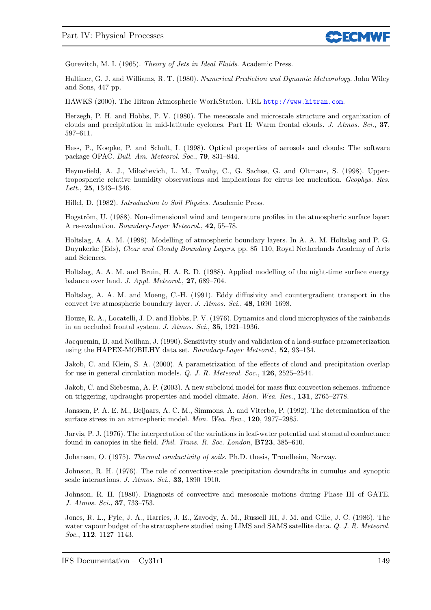

Gurevitch, M. I. (1965). Theory of Jets in Ideal Fluids. Academic Press.

Haltiner, G. J. and Williams, R. T. (1980). Numerical Prediction and Dynamic Meteorology. John Wiley and Sons, 447 pp.

HAWKS (2000). The Hitran Atmospheric WorKStation. URL <http://www.hitran.com>.

Herzegh, P. H. and Hobbs, P. V. (1980). The mesoscale and microscale structure and organization of clouds and precipitation in mid-latitude cyclones. Part II: Warm frontal clouds. J. Atmos. Sci., 37, 597–611.

Hess, P., Koepke, P. and Schult, I. (1998). Optical properties of aerosols and clouds: The software package OPAC. Bull. Am. Meteorol. Soc., 79, 831–844.

Heymsfield, A. J., Miloshevich, L. M., Twohy, C., G. Sachse, G. and Oltmans, S. (1998). Uppertropospheric relative humidity observations and implications for cirrus ice nucleation. Geophys. Res. Lett., 25, 1343–1346.

Hillel, D. (1982). Introduction to Soil Physics. Academic Press.

Hogström, U. (1988). Non-dimensional wind and temperature profiles in the atmospheric surface layer: A re-evaluation. Boundary-Layer Meteorol., 42, 55–78.

Holtslag, A. A. M. (1998). Modelling of atmospheric boundary layers. In A. A. M. Holtslag and P. G. Duynkerke (Eds), Clear and Cloudy Boundary Layers, pp. 85–110, Royal Netherlands Academy of Arts and Sciences.

Holtslag, A. A. M. and Bruin, H. A. R. D. (1988). Applied modelling of the night-time surface energy balance over land. J. Appl. Meteorol., 27, 689–704.

Holtslag, A. A. M. and Moeng, C.-H. (1991). Eddy diffusivity and countergradient transport in the convect ive atmospheric boundary layer. J. Atmos. Sci., 48, 1690–1698.

Houze, R. A., Locatelli, J. D. and Hobbs, P. V. (1976). Dynamics and cloud microphysics of the rainbands in an occluded frontal system. J. Atmos. Sci., 35, 1921–1936.

Jacquemin, B. and Noilhan, J. (1990). Sensitivity study and validation of a land-surface parameterization using the HAPEX-MOBILHY data set. Boundary-Layer Meteorol., 52, 93–134.

Jakob, C. and Klein, S. A. (2000). A parametrization of the effects of cloud and precipitation overlap for use in general circulation models. Q. J. R. Meteorol. Soc., 126, 2525–2544.

Jakob, C. and Siebesma, A. P. (2003). A new subcloud model for mass flux convection schemes. influence on triggering, updraught properties and model climate. Mon. Wea. Rev., 131, 2765–2778.

Janssen, P. A. E. M., Beljaars, A. C. M., Simmons, A. and Viterbo, P. (1992). The determination of the surface stress in an atmospheric model. Mon. Wea. Rev., 120, 2977–2985.

Jarvis, P. J. (1976). The interpretation of the variations in leaf-water potential and stomatal conductance found in canopies in the field. Phil. Trans. R. Soc. London, B723, 385–610.

Johansen, O. (1975). Thermal conductivity of soils. Ph.D. thesis, Trondheim, Norway.

Johnson, R. H. (1976). The role of convective-scale precipitation downdrafts in cumulus and synoptic scale interactions. J. Atmos. Sci., 33, 1890–1910.

Johnson, R. H. (1980). Diagnosis of convective and mesoscale motions during Phase III of GATE. J. Atmos. Sci., 37, 733–753.

Jones, R. L., Pyle, J. A., Harries, J. E., Zavody, A. M., Russell III, J. M. and Gille, J. C. (1986). The water vapour budget of the stratosphere studied using LIMS and SAMS satellite data. Q. J. R. Meteorol. Soc., 112, 1127–1143.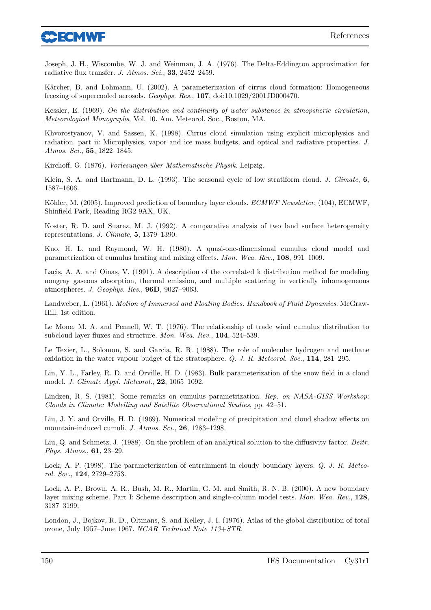

Joseph, J. H., Wiscombe, W. J. and Weinman, J. A. (1976). The Delta-Eddington approximation for radiative flux transfer. J. Atmos. Sci., 33, 2452-2459.

Kärcher, B. and Lohmann, U. (2002). A parameterization of cirrus cloud formation: Homogeneous freezing of supercooled aerosols. Geophys. Res., 107, doi:10.1029/2001JD000470.

Kessler, E. (1969). On the distribution and continuity of water substance in atmopsheric circulation, Meteorological Monographs, Vol. 10. Am. Meteorol. Soc., Boston, MA.

Khvorostyanov, V. and Sassen, K. (1998). Cirrus cloud simulation using explicit microphysics and radiation. part ii: Microphysics, vapor and ice mass budgets, and optical and radiative properties. J. Atmos. Sci., 55, 1822–1845.

Kirchoff, G. (1876). Vorlesungen über Mathematische Physik. Leipzig.

Klein, S. A. and Hartmann, D. L. (1993). The seasonal cycle of low stratiform cloud. J. Climate, 6, 1587–1606.

Köhler, M. (2005). Improved prediction of boundary layer clouds. *ECMWF Newsletter*, (104), ECMWF, Shinfield Park, Reading RG2 9AX, UK.

Koster, R. D. and Suarez, M. J. (1992). A comparative analysis of two land surface heterogeneity representations. J. Climate, 5, 1379–1390.

Kuo, H. L. and Raymond, W. H. (1980). A quasi-one-dimensional cumulus cloud model and parametrization of cumulus heating and mixing effects. Mon. Wea. Rev., 108, 991–1009.

Lacis, A. A. and Oinas, V. (1991). A description of the correlated k distribution method for modeling nongray gaseous absorption, thermal emission, and multiple scattering in vertically inhomogeneous atmospheres. J. Geophys. Res., 96D, 9027–9063.

Landweber, L. (1961). Motion of Immersed and Floating Bodies. Handbook of Fluid Dynamics. McGraw-Hill, 1st edition.

Le Mone, M. A. and Pennell, W. T. (1976). The relationship of trade wind cumulus distribution to subcloud layer fluxes and structure. Mon. Wea. Rev., 104, 524–539.

Le Texier, L., Solomon, S. and Garcia, R. R. (1988). The role of molecular hydrogen and methane oxidation in the water vapour budget of the stratosphere. Q. J. R. Meteorol. Soc., 114, 281–295.

Lin, Y. L., Farley, R. D. and Orville, H. D. (1983). Bulk parameterization of the snow field in a cloud model. *J. Climate Appl. Meteorol.*, **22**, 1065–1092.

Lindzen, R. S. (1981). Some remarks on cumulus parametrization. Rep. on NASA-GISS Workshop: Clouds in Climate: Modelling and Satellite Observational Studies, pp. 42–51.

Liu, J. Y. and Orville, H. D. (1969). Numerical modeling of precipitation and cloud shadow effects on mountain-induced cumuli. J. Atmos. Sci., 26, 1283-1298.

Liu, Q. and Schmetz, J. (1988). On the problem of an analytical solution to the diffusivity factor. Beitr. Phys. Atmos., 61, 23–29.

Lock, A. P. (1998). The parameterization of entrainment in cloudy boundary layers. Q. J. R. Meteorol. Soc., 124, 2729–2753.

Lock, A. P., Brown, A. R., Bush, M. R., Martin, G. M. and Smith, R. N. B. (2000). A new boundary layer mixing scheme. Part I: Scheme description and single-column model tests. Mon. Wea. Rev., 128, 3187–3199.

London, J., Bojkov, R. D., Oltmans, S. and Kelley, J. I. (1976). Atlas of the global distribution of total ozone, July 1957–June 1967. NCAR Technical Note 113+STR.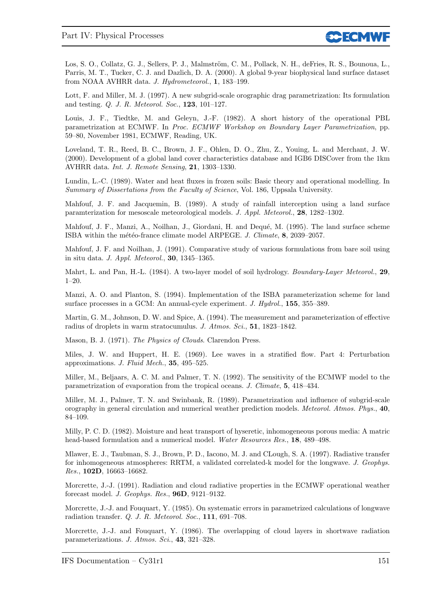

Los, S. O., Collatz, G. J., Sellers, P. J., Malmström, C. M., Pollack, N. H., deFries, R. S., Bounoua, L., Parris, M. T., Tucker, C. J. and Dazlich, D. A. (2000). A global 9-year biophysical land surface dataset from NOAA AVHRR data. J. Hydrometeorol., 1, 183–199.

Lott, F. and Miller, M. J. (1997). A new subgrid-scale orographic drag parametrization: Its formulation and testing. Q. J. R. Meteorol. Soc., 123, 101–127.

Louis, J. F., Tiedtke, M. and Geleyn, J.-F. (1982). A short history of the operational PBL parametrization at ECMWF. In Proc. ECMWF Workshop on Boundary Layer Parametrization, pp. 59–80, November 1981, ECMWF, Reading, UK.

Loveland, T. R., Reed, B. C., Brown, J. F., Ohlen, D. O., Zhu, Z., Youing, L. and Merchant, J. W. (2000). Development of a global land cover characteristics database and IGB6 DISCover from the 1km AVHRR data. Int. J. Remote Sensing, 21, 1303–1330.

Lundin, L.-C. (1989). Water and heat fluxes in frozen soils: Basic theory and operational modelling. In Summary of Dissertations from the Faculty of Science, Vol. 186, Uppsala University.

Mahfouf, J. F. and Jacquemin, B. (1989). A study of rainfall interception using a land surface paramterization for mesoscale meteorological models. J. Appl. Meteorol., 28, 1282–1302.

Mahfouf, J. F., Manzi, A., Noilhan, J., Giordani, H. and Dequé, M. (1995). The land surface scheme ISBA within the météo-france climate model ARPEGE. J. Climate, 8, 2039–2057.

Mahfouf, J. F. and Noilhan, J. (1991). Comparative study of various formulations from bare soil using in situ data. J. Appl. Meteorol., 30, 1345–1365.

Mahrt, L. and Pan, H.-L. (1984). A two-layer model of soil hydrology. Boundary-Layer Meteorol., 29, 1–20.

Manzi, A. O. and Planton, S. (1994). Implementation of the ISBA parameterization scheme for land surface processes in a GCM: An annual-cycle experiment. J. Hydrol., 155, 355–389.

Martin, G. M., Johnson, D. W. and Spice, A. (1994). The measurement and parameterization of effective radius of droplets in warm stratocumulus. J. Atmos. Sci., 51, 1823–1842.

Mason, B. J. (1971). The Physics of Clouds. Clarendon Press.

Miles, J. W. and Huppert, H. E. (1969). Lee waves in a stratified flow. Part 4: Perturbation approximations. J. Fluid Mech., 35, 495–525.

Miller, M., Beljaars, A. C. M. and Palmer, T. N. (1992). The sensitivity of the ECMWF model to the parametrization of evaporation from the tropical oceans. J. Climate, 5, 418–434.

Miller, M. J., Palmer, T. N. and Swinbank, R. (1989). Parametrization and influence of subgrid-scale orography in general circulation and numerical weather prediction models. Meteorol. Atmos. Phys., 40, 84–109.

Milly, P. C. D. (1982). Moisture and heat transport of hyseretic, inhomogeneous porous media: A matric head-based formulation and a numerical model. Water Resources Res., 18, 489–498.

Mlawer, E. J., Taubman, S. J., Brown, P. D., Iacono, M. J. and CLough, S. A. (1997). Radiative transfer for inhomogeneous atmospheres: RRTM, a validated correlated-k model for the longwave. J. Geophys. Res., 102D, 16663–16682.

Morcrette, J.-J. (1991). Radiation and cloud radiative properties in the ECMWF operational weather forecast model. J. Geophys. Res., 96D, 9121–9132.

Morcrette, J.-J. and Fouquart, Y. (1985). On systematic errors in parametrized calculations of longwave radiation transfer. Q. J. R. Meteorol. Soc., 111, 691–708.

Morcrette, J.-J. and Fouquart, Y. (1986). The overlapping of cloud layers in shortwave radiation parameterizations. J. Atmos. Sci., 43, 321–328.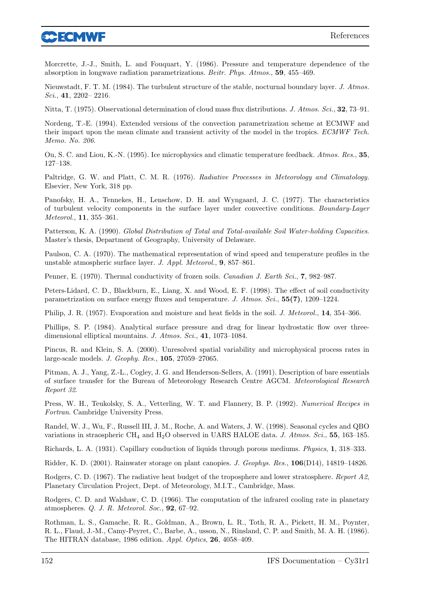

Morcrette, J.-J., Smith, L. and Fouquart, Y. (1986). Pressure and temperature dependence of the absorption in longwave radiation parametrizations. Beitr. Phys. Atmos., 59, 455–469.

Nieuwstadt, F. T. M. (1984). The turbulent structure of the stable, nocturnal boundary layer. J. Atmos. Sci., 41, 2202– 2216.

Nitta, T. (1975). Observational determination of cloud mass flux distributions. J. Atmos. Sci., 32, 73–91.

Nordeng, T.-E. (1994). Extended versions of the convection parametrization scheme at ECMWF and their impact upon the mean climate and transient activity of the model in the tropics. ECMWF Tech. Memo. No. 206.

Ou, S. C. and Liou, K.-N. (1995). Ice microphysics and climatic temperature feedback. Atmos. Res., 35, 127–138.

Paltridge, G. W. and Platt, C. M. R. (1976). Radiative Processes in Meteorology and Climatology. Elsevier, New York, 318 pp.

Panofsky, H. A., Tennekes, H., Lenschow, D. H. and Wyngaard, J. C. (1977). The characteristics of turbulent velocity components in the surface layer under convective conditions. Boundary-Layer Meteorol., 11, 355–361.

Patterson, K. A. (1990). Global Distribution of Total and Total-available Soil Water-holding Capacities. Master's thesis, Department of Geography, University of Delaware.

Paulson, C. A. (1970). The mathematical representation of wind speed and temperature profiles in the unstable atmospheric surface layer. J. Appl. Meteorol., 9, 857–861.

Penner, E. (1970). Thermal conductivity of frozen soils. Canadian J. Earth Sci., 7, 982–987.

Peters-Lidard, C. D., Blackburn, E., Liang, X. and Wood, E. F. (1998). The effect of soil conductivity parametrization on surface energy fluxes and temperature. J. Atmos. Sci., 55(7), 1209–1224.

Philip, J. R. (1957). Evaporation and moisture and heat fields in the soil. J. Meteorol., 14, 354–366.

Phillips, S. P. (1984). Analytical surface pressure and drag for linear hydrostatic flow over threedimensional elliptical mountains. J. Atmos. Sci., 41, 1073–1084.

Pincus, R. and Klein, S. A. (2000). Unresolved spatial variability and microphysical process rates in large-scale models. J. Geophy. Res., 105, 27059–27065.

Pitman, A. J., Yang, Z.-L., Cogley, J. G. and Henderson-Sellers, A. (1991). Description of bare essentials of surface transfer for the Bureau of Meteorology Research Centre AGCM. Meteorological Research Report 32.

Press, W. H., Teukolsky, S. A., Vetterling, W. T. and Flannery, B. P. (1992). Numerical Recipes in Fortran. Cambridge University Press.

Randel, W. J., Wu, F., Russell III, J. M., Roche, A. and Waters, J. W. (1998). Seasonal cycles and QBO variations in straospheric CH<sub>4</sub> and H<sub>2</sub>O observed in UARS HALOE data. J. Atmos. Sci., 55, 163–185.

Richards, L. A. (1931). Capillary conduction of liquids through porous mediums. Physics, 1, 318–333.

Ridder, K. D. (2001). Rainwater storage on plant canopies. J. Geophys. Res., 106(D14), 14819–14826.

Rodgers, C. D. (1967). The radiative heat budget of the troposphere and lower stratosphere. Report A2, Planetary Circulation Project, Dept. of Meteorology, M.I.T., Cambridge, Mass.

Rodgers, C. D. and Walshaw, C. D. (1966). The computation of the infrared cooling rate in planetary atmospheres. Q. J. R. Meteorol. Soc., 92, 67–92.

Rothman, L. S., Gamache, R. R., Goldman, A., Brown, L. R., Toth, R. A., Pickett, H. M., Poynter, R. L., Flaud, J.-M., Camy-Peyret, C., Barbe, A., usson, N., Rinsland, C. P. and Smith, M. A. H. (1986). The HITRAN database, 1986 edition. Appl. Optics, 26, 4058–409.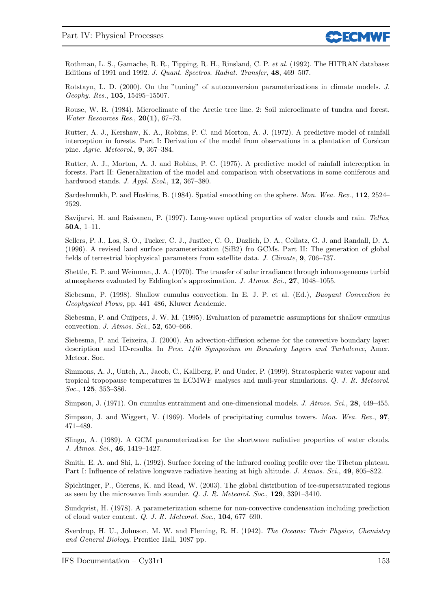Rothman, L. S., Gamache, R. R., Tipping, R. H., Rinsland, C. P. et al. (1992). The HITRAN database: Editions of 1991 and 1992. J. Quant. Spectros. Radiat. Transfer, 48, 469–507.

Rotstayn, L. D. (2000). On the "tuning" of autoconversion parameterizations in climate models. J. Geophy. Res., 105, 15495–15507.

Rouse, W. R. (1984). Microclimate of the Arctic tree line. 2: Soil microclimate of tundra and forest. Water Resources Res., 20(1), 67–73.

Rutter, A. J., Kershaw, K. A., Robins, P. C. and Morton, A. J. (1972). A predictive model of rainfall interception in forests. Part I: Derivation of the model from observations in a plantation of Corsican pine. Agric. Meteorol., 9, 367–384.

Rutter, A. J., Morton, A. J. and Robins, P. C. (1975). A predictive model of rainfall interception in forests. Part II: Generalization of the model and comparison with observations in some coniferous and hardwood stands. J. Appl. Ecol., 12, 367–380.

Sardeshmukh, P. and Hoskins, B. (1984). Spatial smoothing on the sphere. Mon. Wea. Rev., 112, 2524– 2529.

Savijarvi, H. and Raisanen, P. (1997). Long-wave optical properties of water clouds and rain. Tellus, 50A, 1–11.

Sellers, P. J., Los, S. O., Tucker, C. J., Justice, C. O., Dazlich, D. A., Collatz, G. J. and Randall, D. A. (1996). A revised land surface parameterization (SiB2) fro GCMs. Part II: The generation of global fields of terrestrial biophysical parameters from satellite data. J. Climate, 9, 706–737.

Shettle, E. P. and Weinman, J. A. (1970). The transfer of solar irradiance through inhomogeneous turbid atmospheres evaluated by Eddington's approximation. J. Atmos. Sci., 27, 1048–1055.

Siebesma, P. (1998). Shallow cumulus convection. In E. J. P. et al. (Ed.), Buoyant Convection in Geophysical Flows, pp. 441–486, Kluwer Academic.

Siebesma, P. and Cuijpers, J. W. M. (1995). Evaluation of parametric assumptions for shallow cumulus convection. J. Atmos. Sci., 52, 650–666.

Siebesma, P. and Teixeira, J. (2000). An advection-diffusion scheme for the convective boundary layer: description and 1D-results. In Proc. 14th Symposium on Boundary Layers and Turbulence, Amer. Meteor. Soc.

Simmons, A. J., Untch, A., Jacob, C., Kallberg, P. and Under, P. (1999). Stratospheric water vapour and tropical tropopause temperatures in ECMWF analyses and muli-year simularions. Q. J. R. Meteorol. Soc., 125, 353–386.

Simpson, J. (1971). On cumulus entrainment and one-dimensional models. J. Atmos. Sci., 28, 449-455.

Simpson, J. and Wiggert, V. (1969). Models of precipitating cumulus towers. Mon. Wea. Rev., 97, 471–489.

Slingo, A. (1989). A GCM parameterization for the shortwave radiative properties of water clouds. J. Atmos. Sci., 46, 1419–1427.

Smith, E. A. and Shi, L. (1992). Surface forcing of the infrared cooling profile over the Tibetan plateau. Part I: Influence of relative longwave radiative heating at high altitude. J. Atmos. Sci., 49, 805–822.

Spichtinger, P., Gierens, K. and Read, W. (2003). The global distribution of ice-supersaturated regions as seen by the microwave limb sounder. Q. J. R. Meteorol. Soc., 129, 3391–3410.

Sundqvist, H. (1978). A parameterization scheme for non-convective condensation including prediction of cloud water content. Q. J. R. Meteorol. Soc., 104, 677–690.

Sverdrup, H. U., Johnson, M. W. and Fleming, R. H. (1942). The Oceans: Their Physics, Chemistry and General Biology. Prentice Hall, 1087 pp.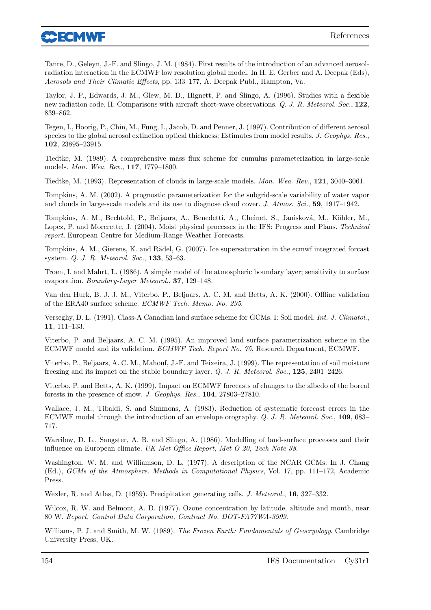

Tanre, D., Geleyn, J.-F. and Slingo, J. M. (1984). First results of the introduction of an advanced aerosolradiation interaction in the ECMWF low resolution global model. In H. E. Gerber and A. Deepak (Eds), Aerosols and Their Climatic Effects, pp. 133–177, A. Deepak Publ., Hampton, Va.

Taylor, J. P., Edwards, J. M., Glew, M. D., Hignett, P. and Slingo, A. (1996). Studies with a flexible new radiation code. II: Comparisons with aircraft short-wave observations. Q. J. R. Meteorol. Soc., 122, 839–862.

Tegen, I., Hoorig, P., Chin, M., Fung, I., Jacob, D. and Penner, J. (1997). Contribution of different aerosol species to the global aerosol extinction optical thickness: Estimates from model results. J. Geophys. Res., 102, 23895–23915.

Tiedtke, M. (1989). A comprehensive mass flux scheme for cumulus parameterization in large-scale models. Mon. Wea. Rev., 117, 1779–1800.

Tiedtke, M. (1993). Representation of clouds in large-scale models. Mon. Wea. Rev., 121, 3040–3061.

Tompkins, A. M. (2002). A prognostic parameterization for the subgrid-scale variability of water vapor and clouds in large-scale models and its use to diagnose cloud cover. J. Atmos. Sci., 59, 1917–1942.

Tompkins, A. M., Bechtold, P., Beljaars, A., Benedetti, A., Cheinet, S., Janisková, M., Köhler, M., Lopez, P. and Morcrette, J. (2004). Moist physical processes in the IFS: Progress and Plans. Technical report, European Centre for Medium-Range Weather Forecasts.

Tompkins, A. M., Gierens, K. and Rädel, G. (2007). Ice supersaturation in the ecmwf integrated forcast system. Q. J. R. Meteorol. Soc., 133, 53–63.

Troen, I. and Mahrt, L. (1986). A simple model of the atmospheric boundary layer; sensitivity to surface evaporation. Boundary-Layer Meteorol., 37, 129–148.

Van den Hurk, B. J. J. M., Viterbo, P., Beljaars, A. C. M. and Betts, A. K. (2000). Offline validation of the ERA40 surface scheme. ECMWF Tech. Memo. No. 295.

Verseghy, D. L. (1991). Class-A Canadian land surface scheme for GCMs. I: Soil model. Int. J. Climatol., 11, 111–133.

Viterbo, P. and Beljaars, A. C. M. (1995). An improved land surface parametrization scheme in the ECMWF model and its validation. ECMWF Tech. Report No. 75, Research Department, ECMWF.

Viterbo, P., Beljaars, A. C. M., Mahouf, J.-F. and Teixeira, J. (1999). The representation of soil moisture freezing and its impact on the stable boundary layer. Q. J. R. Meteorol. Soc., 125, 2401–2426.

Viterbo, P. and Betts, A. K. (1999). Impact on ECMWF forecasts of changes to the albedo of the boreal forests in the presence of snow. J. Geophys. Res., 104, 27803–27810.

Wallace, J. M., Tibaldi, S. and Simmons, A. (1983). Reduction of systematic forecast errors in the ECMWF model through the introduction of an envelope orography. Q. J. R. Meteorol. Soc., 109, 683– 717.

Warrilow, D. L., Sangster, A. B. and Slingo, A. (1986). Modelling of land-surface processes and their influence on European climate. UK Met Office Report, Met O 20, Tech Note 38.

Washington, W. M. and Williamson, D. L. (1977). A description of the NCAR GCMs. In J. Chang (Ed.), GCMs of the Atmosphere. Methods in Computational Physics, Vol. 17, pp. 111–172, Academic Press.

Wexler, R. and Atlas, D. (1959). Precipitation generating cells. J. Meteorol., 16, 327–332.

Wilcox, R. W. and Belmont, A. D. (1977). Ozone concentration by latitude, altitude and month, near 80 W. Report, Control Data Corporation, Contract No. DOT-FA77WA-3999.

Williams, P. J. and Smith, M. W. (1989). The Frozen Earth: Fundamentals of Geocryology. Cambridge University Press, UK.